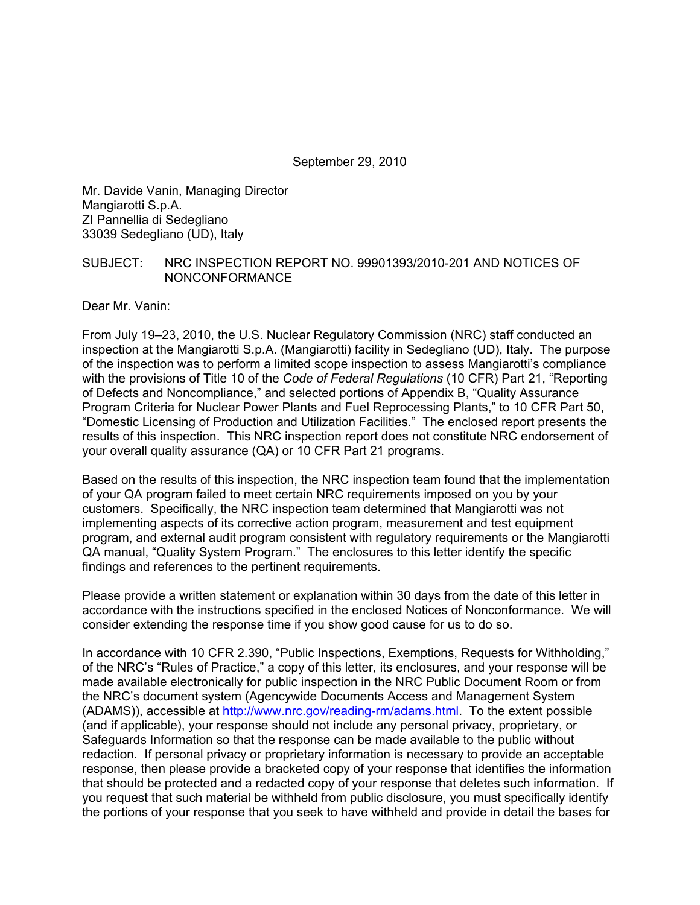September 29, 2010

Mr. Davide Vanin, Managing Director Mangiarotti S.p.A. ZI Pannellia di Sedegliano 33039 Sedegliano (UD), Italy

#### SUBJECT: NRC INSPECTION REPORT NO. 99901393/2010-201 AND NOTICES OF NONCONFORMANCE

Dear Mr. Vanin:

From July 19–23, 2010, the U.S. Nuclear Regulatory Commission (NRC) staff conducted an inspection at the Mangiarotti S.p.A. (Mangiarotti) facility in Sedegliano (UD), Italy. The purpose of the inspection was to perform a limited scope inspection to assess Mangiarotti's compliance with the provisions of Title 10 of the *Code of Federal Regulations* (10 CFR) Part 21, "Reporting of Defects and Noncompliance," and selected portions of Appendix B, "Quality Assurance Program Criteria for Nuclear Power Plants and Fuel Reprocessing Plants," to 10 CFR Part 50, "Domestic Licensing of Production and Utilization Facilities." The enclosed report presents the results of this inspection. This NRC inspection report does not constitute NRC endorsement of your overall quality assurance (QA) or 10 CFR Part 21 programs.

Based on the results of this inspection, the NRC inspection team found that the implementation of your QA program failed to meet certain NRC requirements imposed on you by your customers. Specifically, the NRC inspection team determined that Mangiarotti was not implementing aspects of its corrective action program, measurement and test equipment program, and external audit program consistent with regulatory requirements or the Mangiarotti QA manual, "Quality System Program." The enclosures to this letter identify the specific findings and references to the pertinent requirements.

Please provide a written statement or explanation within 30 days from the date of this letter in accordance with the instructions specified in the enclosed Notices of Nonconformance. We will consider extending the response time if you show good cause for us to do so.

In accordance with 10 CFR 2.390, "Public Inspections, Exemptions, Requests for Withholding," of the NRC's "Rules of Practice," a copy of this letter, its enclosures, and your response will be made available electronically for public inspection in the NRC Public Document Room or from the NRC's document system (Agencywide Documents Access and Management System (ADAMS)), accessible at http://www.nrc.gov/reading-rm/adams.html. To the extent possible (and if applicable), your response should not include any personal privacy, proprietary, or Safeguards Information so that the response can be made available to the public without redaction. If personal privacy or proprietary information is necessary to provide an acceptable response, then please provide a bracketed copy of your response that identifies the information that should be protected and a redacted copy of your response that deletes such information. If you request that such material be withheld from public disclosure, you must specifically identify the portions of your response that you seek to have withheld and provide in detail the bases for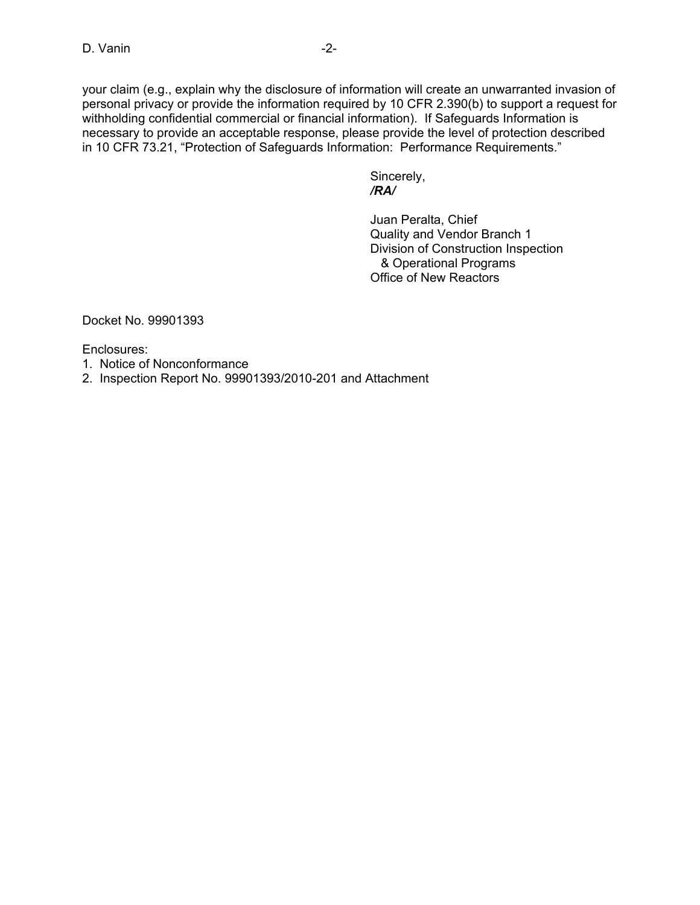your claim (e.g., explain why the disclosure of information will create an unwarranted invasion of personal privacy or provide the information required by 10 CFR 2.390(b) to support a request for withholding confidential commercial or financial information). If Safeguards Information is necessary to provide an acceptable response, please provide the level of protection described in 10 CFR 73.21, "Protection of Safeguards Information: Performance Requirements."

 Sincerely,  */RA/* 

> Juan Peralta, Chief Quality and Vendor Branch 1 Division of Construction Inspection & Operational Programs Office of New Reactors

Docket No. 99901393

Enclosures:

1. Notice of Nonconformance

2. Inspection Report No. 99901393/2010-201 and Attachment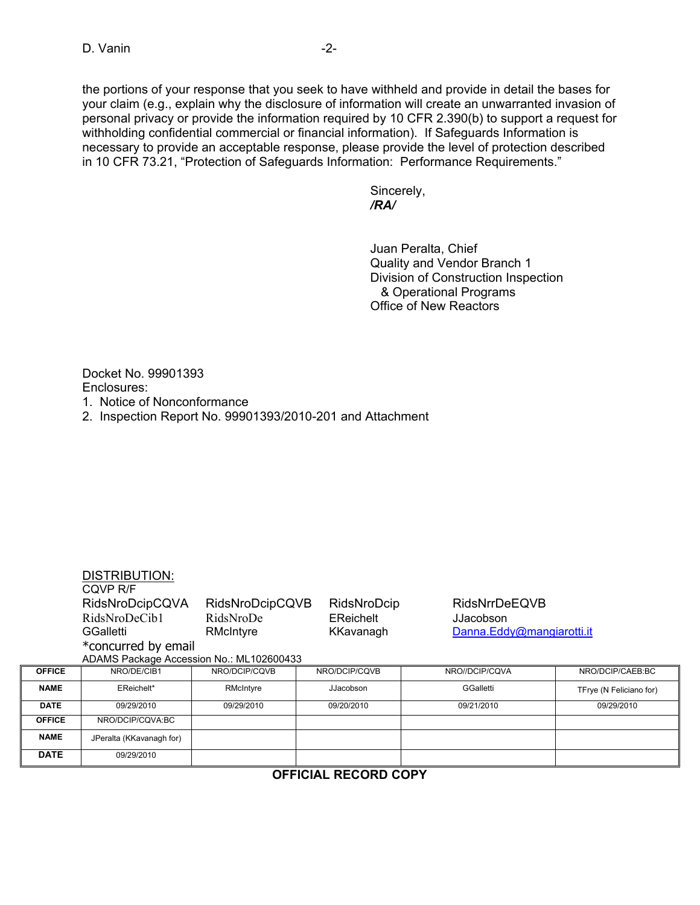the portions of your response that you seek to have withheld and provide in detail the bases for your claim (e.g., explain why the disclosure of information will create an unwarranted invasion of personal privacy or provide the information required by 10 CFR 2.390(b) to support a request for withholding confidential commercial or financial information). If Safeguards Information is necessary to provide an acceptable response, please provide the level of protection described in 10 CFR 73.21, "Protection of Safeguards Information: Performance Requirements."

 Sincerely,  */RA/* 

> Juan Peralta, Chief Quality and Vendor Branch 1 Division of Construction Inspection & Operational Programs Office of New Reactors

Docket No. 99901393 Enclosures: 1. Notice of Nonconformance

2. Inspection Report No. 99901393/2010-201 and Attachment

|                                          | <b>DISTRIBUTION:</b>     |                 |               |                           |                         |  |
|------------------------------------------|--------------------------|-----------------|---------------|---------------------------|-------------------------|--|
|                                          | COVP R/F                 |                 |               |                           |                         |  |
|                                          | RidsNroDcipCQVA          | RidsNroDcipCQVB | RidsNroDcip   | <b>RidsNrrDeEQVB</b>      |                         |  |
|                                          | RidsNroDeCib1            | RidsNroDe       | EReichelt     | JJacobson                 |                         |  |
|                                          | GGalletti                | RMcIntyre       | KKavanagh     | Danna.Eddy@mangiarotti.it |                         |  |
|                                          | *concurred by email      |                 |               |                           |                         |  |
| ADAMS Package Accession No.: ML102600433 |                          |                 |               |                           |                         |  |
| <b>OFFICE</b>                            | NRO/DE/CIB1              | NRO/DCIP/CQVB   | NRO/DCIP/CQVB | NRO//DCIP/CQVA            | NRO/DCIP/CAEB:BC        |  |
| <b>NAME</b>                              | EReichelt*               | RMcIntyre       | JJacobson     | GGalletti                 | TFrye (N Feliciano for) |  |
| <b>DATE</b>                              | 09/29/2010               | 09/29/2010      | 09/20/2010    | 09/21/2010                | 09/29/2010              |  |
| <b>OFFICE</b>                            | NRO/DCIP/CQVA:BC         |                 |               |                           |                         |  |
| <b>NAME</b>                              | JPeralta (KKavanagh for) |                 |               |                           |                         |  |
| <b>DATE</b>                              | 09/29/2010               |                 |               |                           |                         |  |
| $\leftarrow$<br>BEAABB AABV              |                          |                 |               |                           |                         |  |

**OFFICIAL RECORD COPY**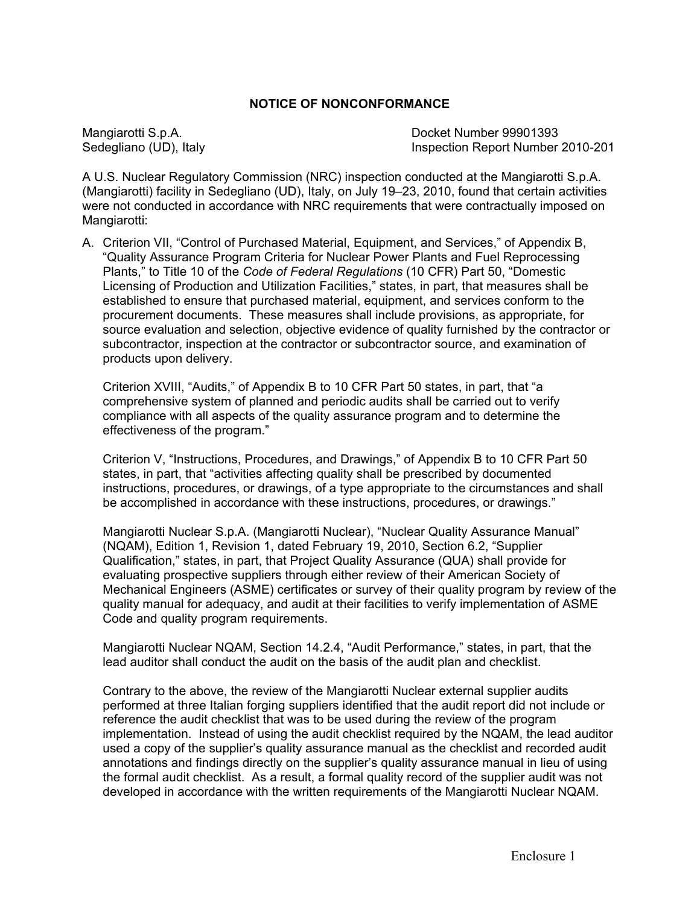#### **NOTICE OF NONCONFORMANCE**

Mangiarotti S.p.A. Docket Number 99901393 Sedegliano (UD), Italy Inspection Report Number 2010-201

A U.S. Nuclear Regulatory Commission (NRC) inspection conducted at the Mangiarotti S.p.A. (Mangiarotti) facility in Sedegliano (UD), Italy, on July 19–23, 2010, found that certain activities were not conducted in accordance with NRC requirements that were contractually imposed on Mangiarotti:

A. Criterion VII, "Control of Purchased Material, Equipment, and Services," of Appendix B, "Quality Assurance Program Criteria for Nuclear Power Plants and Fuel Reprocessing Plants," to Title 10 of the *Code of Federal Regulations* (10 CFR) Part 50, "Domestic Licensing of Production and Utilization Facilities," states, in part, that measures shall be established to ensure that purchased material, equipment, and services conform to the procurement documents. These measures shall include provisions, as appropriate, for source evaluation and selection, objective evidence of quality furnished by the contractor or subcontractor, inspection at the contractor or subcontractor source, and examination of products upon delivery.

Criterion XVIII, "Audits," of Appendix B to 10 CFR Part 50 states, in part, that "a comprehensive system of planned and periodic audits shall be carried out to verify compliance with all aspects of the quality assurance program and to determine the effectiveness of the program."

Criterion V, "Instructions, Procedures, and Drawings," of Appendix B to 10 CFR Part 50 states, in part, that "activities affecting quality shall be prescribed by documented instructions, procedures, or drawings, of a type appropriate to the circumstances and shall be accomplished in accordance with these instructions, procedures, or drawings."

Mangiarotti Nuclear S.p.A. (Mangiarotti Nuclear), "Nuclear Quality Assurance Manual" (NQAM), Edition 1, Revision 1, dated February 19, 2010, Section 6.2, "Supplier Qualification," states, in part, that Project Quality Assurance (QUA) shall provide for evaluating prospective suppliers through either review of their American Society of Mechanical Engineers (ASME) certificates or survey of their quality program by review of the quality manual for adequacy, and audit at their facilities to verify implementation of ASME Code and quality program requirements.

Mangiarotti Nuclear NQAM, Section 14.2.4, "Audit Performance," states, in part, that the lead auditor shall conduct the audit on the basis of the audit plan and checklist.

Contrary to the above, the review of the Mangiarotti Nuclear external supplier audits performed at three Italian forging suppliers identified that the audit report did not include or reference the audit checklist that was to be used during the review of the program implementation. Instead of using the audit checklist required by the NQAM, the lead auditor used a copy of the supplier's quality assurance manual as the checklist and recorded audit annotations and findings directly on the supplier's quality assurance manual in lieu of using the formal audit checklist. As a result, a formal quality record of the supplier audit was not developed in accordance with the written requirements of the Mangiarotti Nuclear NQAM.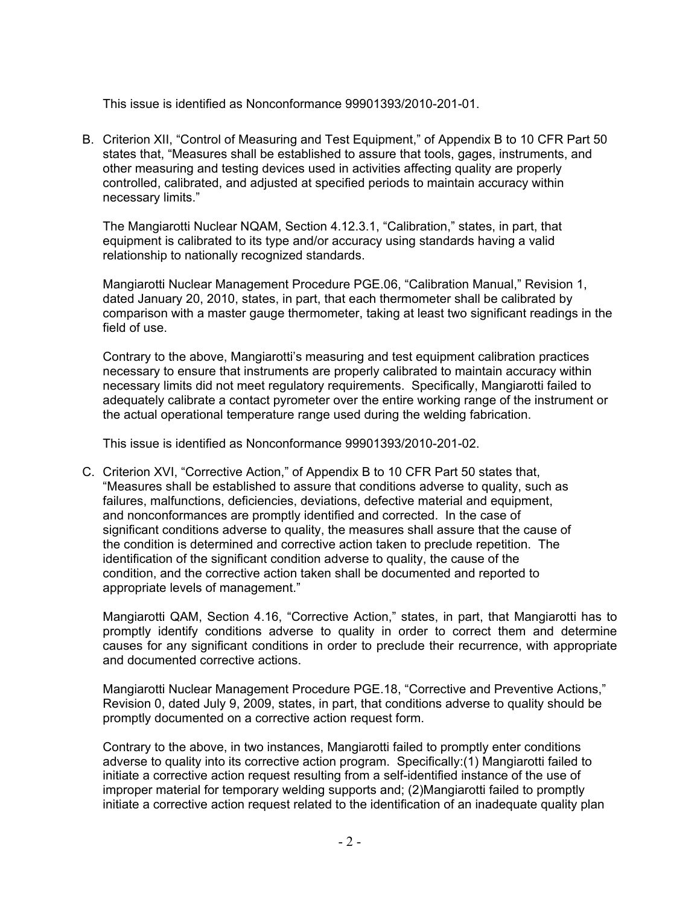This issue is identified as Nonconformance 99901393/2010-201-01.

B. Criterion XII, "Control of Measuring and Test Equipment," of Appendix B to 10 CFR Part 50 states that, "Measures shall be established to assure that tools, gages, instruments, and other measuring and testing devices used in activities affecting quality are properly controlled, calibrated, and adjusted at specified periods to maintain accuracy within necessary limits."

The Mangiarotti Nuclear NQAM, Section 4.12.3.1, "Calibration," states, in part, that equipment is calibrated to its type and/or accuracy using standards having a valid relationship to nationally recognized standards.

Mangiarotti Nuclear Management Procedure PGE.06, "Calibration Manual," Revision 1, dated January 20, 2010, states, in part, that each thermometer shall be calibrated by comparison with a master gauge thermometer, taking at least two significant readings in the field of use.

Contrary to the above, Mangiarotti's measuring and test equipment calibration practices necessary to ensure that instruments are properly calibrated to maintain accuracy within necessary limits did not meet regulatory requirements. Specifically, Mangiarotti failed to adequately calibrate a contact pyrometer over the entire working range of the instrument or the actual operational temperature range used during the welding fabrication.

This issue is identified as Nonconformance 99901393/2010-201-02.

C. Criterion XVI, "Corrective Action," of Appendix B to 10 CFR Part 50 states that, "Measures shall be established to assure that conditions adverse to quality, such as failures, malfunctions, deficiencies, deviations, defective material and equipment, and nonconformances are promptly identified and corrected. In the case of significant conditions adverse to quality, the measures shall assure that the cause of the condition is determined and corrective action taken to preclude repetition. The identification of the significant condition adverse to quality, the cause of the condition, and the corrective action taken shall be documented and reported to appropriate levels of management."

Mangiarotti QAM, Section 4.16, "Corrective Action," states, in part, that Mangiarotti has to promptly identify conditions adverse to quality in order to correct them and determine causes for any significant conditions in order to preclude their recurrence, with appropriate and documented corrective actions.

Mangiarotti Nuclear Management Procedure PGE.18, "Corrective and Preventive Actions," Revision 0, dated July 9, 2009, states, in part, that conditions adverse to quality should be promptly documented on a corrective action request form.

Contrary to the above, in two instances, Mangiarotti failed to promptly enter conditions adverse to quality into its corrective action program. Specifically:(1) Mangiarotti failed to initiate a corrective action request resulting from a self-identified instance of the use of improper material for temporary welding supports and; (2)Mangiarotti failed to promptly initiate a corrective action request related to the identification of an inadequate quality plan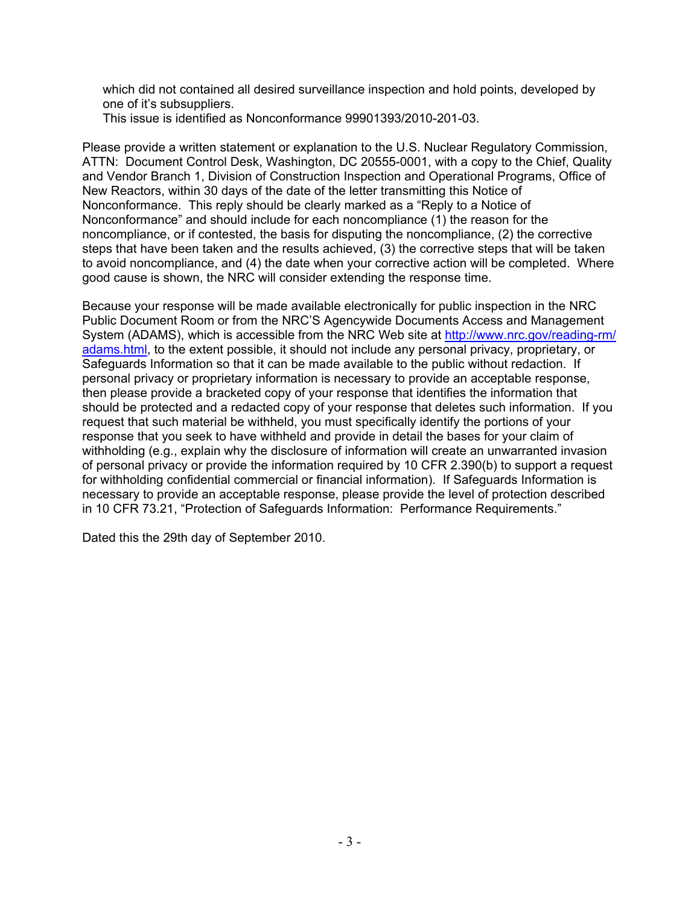which did not contained all desired surveillance inspection and hold points, developed by one of it's subsuppliers.

This issue is identified as Nonconformance 99901393/2010-201-03.

Please provide a written statement or explanation to the U.S. Nuclear Regulatory Commission, ATTN: Document Control Desk, Washington, DC 20555-0001, with a copy to the Chief, Quality and Vendor Branch 1, Division of Construction Inspection and Operational Programs, Office of New Reactors, within 30 days of the date of the letter transmitting this Notice of Nonconformance. This reply should be clearly marked as a "Reply to a Notice of Nonconformance" and should include for each noncompliance (1) the reason for the noncompliance, or if contested, the basis for disputing the noncompliance, (2) the corrective steps that have been taken and the results achieved, (3) the corrective steps that will be taken to avoid noncompliance, and (4) the date when your corrective action will be completed. Where good cause is shown, the NRC will consider extending the response time.

Because your response will be made available electronically for public inspection in the NRC Public Document Room or from the NRC'S Agencywide Documents Access and Management System (ADAMS), which is accessible from the NRC Web site at http://www.nrc.gov/reading-rm/ adams.html, to the extent possible, it should not include any personal privacy, proprietary, or Safeguards Information so that it can be made available to the public without redaction. If personal privacy or proprietary information is necessary to provide an acceptable response, then please provide a bracketed copy of your response that identifies the information that should be protected and a redacted copy of your response that deletes such information. If you request that such material be withheld, you must specifically identify the portions of your response that you seek to have withheld and provide in detail the bases for your claim of withholding (e.g., explain why the disclosure of information will create an unwarranted invasion of personal privacy or provide the information required by 10 CFR 2.390(b) to support a request for withholding confidential commercial or financial information). If Safeguards Information is necessary to provide an acceptable response, please provide the level of protection described in 10 CFR 73.21, "Protection of Safeguards Information: Performance Requirements."

Dated this the 29th day of September 2010.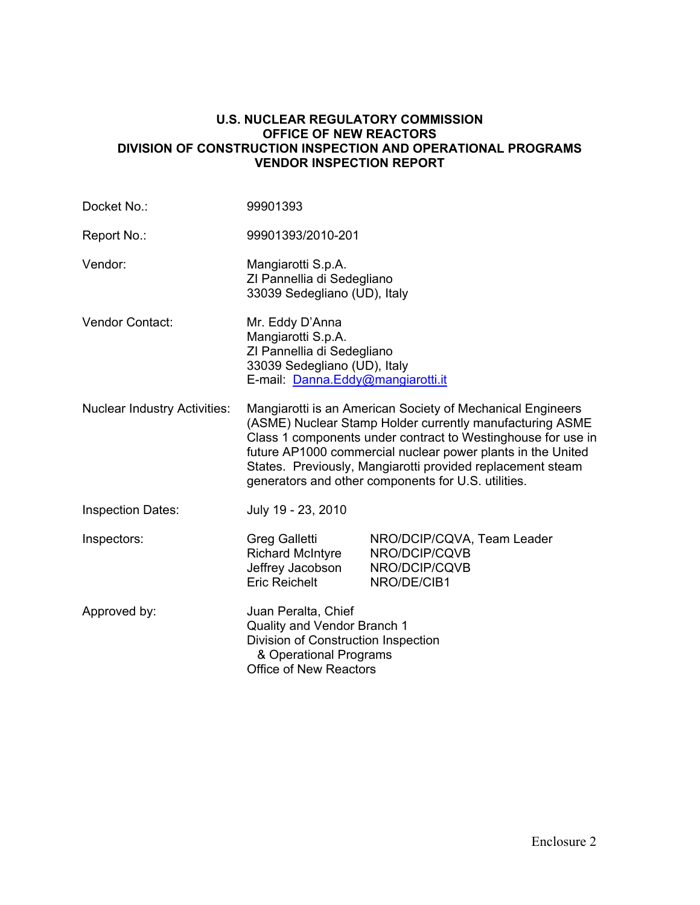#### **U.S. NUCLEAR REGULATORY COMMISSION OFFICE OF NEW REACTORS DIVISION OF CONSTRUCTION INSPECTION AND OPERATIONAL PROGRAMS VENDOR INSPECTION REPORT**

| Docket No.:                         | 99901393                                                                                                                                                                                                                                                                                                                                                                   |                                                                             |  |
|-------------------------------------|----------------------------------------------------------------------------------------------------------------------------------------------------------------------------------------------------------------------------------------------------------------------------------------------------------------------------------------------------------------------------|-----------------------------------------------------------------------------|--|
| Report No.:                         | 99901393/2010-201                                                                                                                                                                                                                                                                                                                                                          |                                                                             |  |
| Vendor:                             | Mangiarotti S.p.A.<br>ZI Pannellia di Sedegliano<br>33039 Sedegliano (UD), Italy                                                                                                                                                                                                                                                                                           |                                                                             |  |
| Vendor Contact:                     | Mr. Eddy D'Anna<br>Mangiarotti S.p.A.<br>ZI Pannellia di Sedegliano<br>33039 Sedegliano (UD), Italy<br>E-mail: Danna.Eddy@mangiarotti.it                                                                                                                                                                                                                                   |                                                                             |  |
| <b>Nuclear Industry Activities:</b> | Mangiarotti is an American Society of Mechanical Engineers<br>(ASME) Nuclear Stamp Holder currently manufacturing ASME<br>Class 1 components under contract to Westinghouse for use in<br>future AP1000 commercial nuclear power plants in the United<br>States. Previously, Mangiarotti provided replacement steam<br>generators and other components for U.S. utilities. |                                                                             |  |
| <b>Inspection Dates:</b>            | July 19 - 23, 2010                                                                                                                                                                                                                                                                                                                                                         |                                                                             |  |
| Inspectors:                         | <b>Greg Galletti</b><br><b>Richard McIntyre</b><br>Jeffrey Jacobson<br><b>Eric Reichelt</b>                                                                                                                                                                                                                                                                                | NRO/DCIP/CQVA, Team Leader<br>NRO/DCIP/CQVB<br>NRO/DCIP/CQVB<br>NRO/DE/CIB1 |  |
| Approved by:                        | Juan Peralta, Chief<br>Quality and Vendor Branch 1<br>Division of Construction Inspection<br>& Operational Programs<br><b>Office of New Reactors</b>                                                                                                                                                                                                                       |                                                                             |  |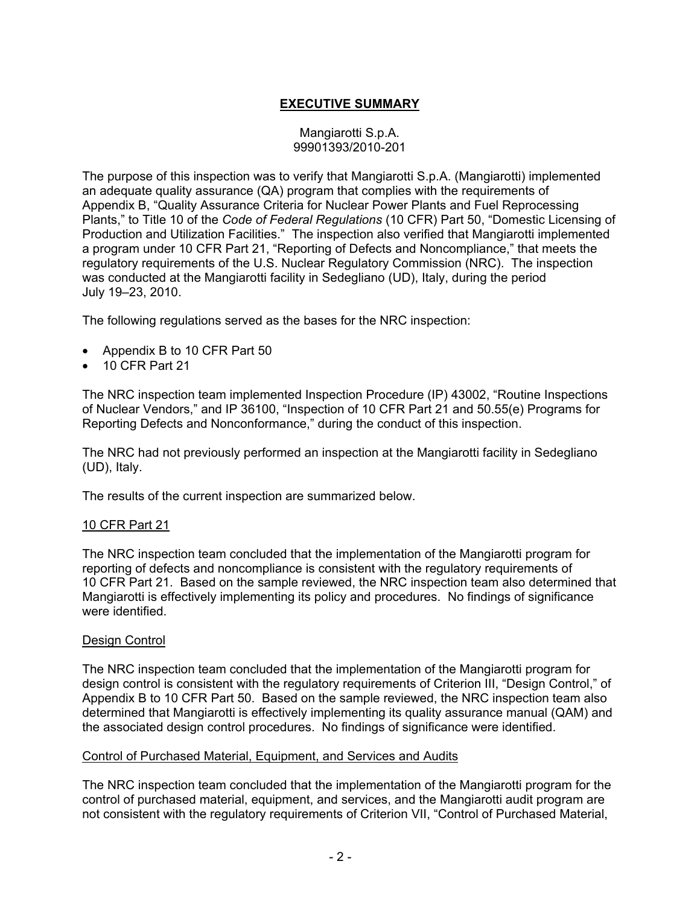# **EXECUTIVE SUMMARY**

#### Mangiarotti S.p.A. 99901393/2010-201

The purpose of this inspection was to verify that Mangiarotti S.p.A. (Mangiarotti) implemented an adequate quality assurance (QA) program that complies with the requirements of Appendix B, "Quality Assurance Criteria for Nuclear Power Plants and Fuel Reprocessing Plants," to Title 10 of the *Code of Federal Regulations* (10 CFR) Part 50, "Domestic Licensing of Production and Utilization Facilities." The inspection also verified that Mangiarotti implemented a program under 10 CFR Part 21, "Reporting of Defects and Noncompliance," that meets the regulatory requirements of the U.S. Nuclear Regulatory Commission (NRC). The inspection was conducted at the Mangiarotti facility in Sedegliano (UD), Italy, during the period July 19–23, 2010.

The following regulations served as the bases for the NRC inspection:

- Appendix B to 10 CFR Part 50
- 10 CFR Part 21

The NRC inspection team implemented Inspection Procedure (IP) 43002, "Routine Inspections of Nuclear Vendors," and IP 36100, "Inspection of 10 CFR Part 21 and 50.55(e) Programs for Reporting Defects and Nonconformance," during the conduct of this inspection.

The NRC had not previously performed an inspection at the Mangiarotti facility in Sedegliano (UD), Italy.

The results of the current inspection are summarized below.

#### 10 CFR Part 21

The NRC inspection team concluded that the implementation of the Mangiarotti program for reporting of defects and noncompliance is consistent with the regulatory requirements of 10 CFR Part 21. Based on the sample reviewed, the NRC inspection team also determined that Mangiarotti is effectively implementing its policy and procedures. No findings of significance were identified.

#### Design Control

The NRC inspection team concluded that the implementation of the Mangiarotti program for design control is consistent with the regulatory requirements of Criterion III, "Design Control," of Appendix B to 10 CFR Part 50. Based on the sample reviewed, the NRC inspection team also determined that Mangiarotti is effectively implementing its quality assurance manual (QAM) and the associated design control procedures. No findings of significance were identified.

#### Control of Purchased Material, Equipment, and Services and Audits

The NRC inspection team concluded that the implementation of the Mangiarotti program for the control of purchased material, equipment, and services, and the Mangiarotti audit program are not consistent with the regulatory requirements of Criterion VII, "Control of Purchased Material,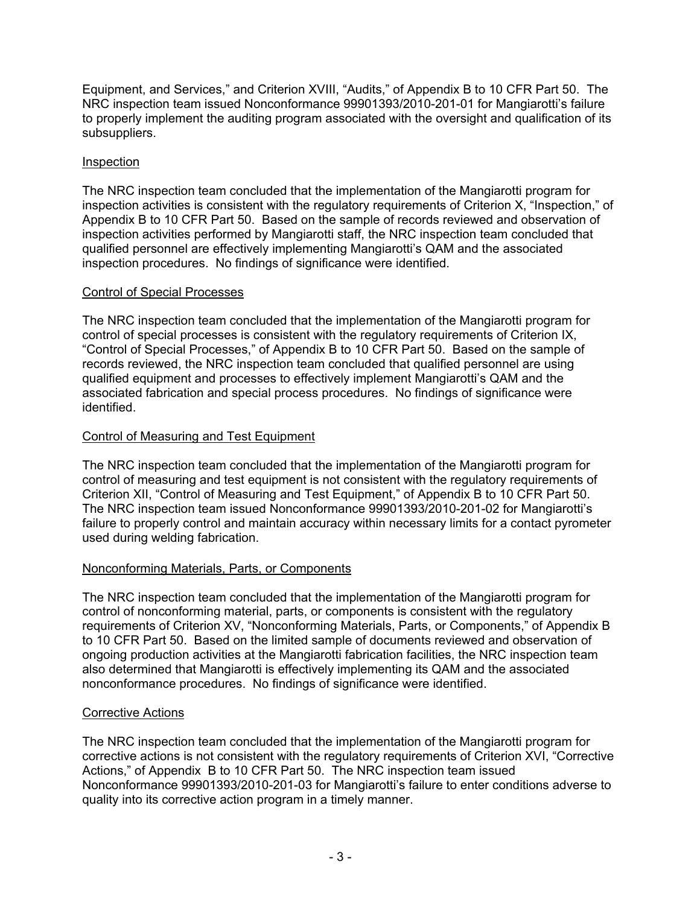Equipment, and Services," and Criterion XVIII, "Audits," of Appendix B to 10 CFR Part 50. The NRC inspection team issued Nonconformance 99901393/2010-201-01 for Mangiarotti's failure to properly implement the auditing program associated with the oversight and qualification of its subsuppliers.

### Inspection

The NRC inspection team concluded that the implementation of the Mangiarotti program for inspection activities is consistent with the regulatory requirements of Criterion X, "Inspection," of Appendix B to 10 CFR Part 50. Based on the sample of records reviewed and observation of inspection activities performed by Mangiarotti staff, the NRC inspection team concluded that qualified personnel are effectively implementing Mangiarotti's QAM and the associated inspection procedures. No findings of significance were identified.

### Control of Special Processes

The NRC inspection team concluded that the implementation of the Mangiarotti program for control of special processes is consistent with the regulatory requirements of Criterion IX, "Control of Special Processes," of Appendix B to 10 CFR Part 50. Based on the sample of records reviewed, the NRC inspection team concluded that qualified personnel are using qualified equipment and processes to effectively implement Mangiarotti's QAM and the associated fabrication and special process procedures. No findings of significance were identified.

### Control of Measuring and Test Equipment

The NRC inspection team concluded that the implementation of the Mangiarotti program for control of measuring and test equipment is not consistent with the regulatory requirements of Criterion XII, "Control of Measuring and Test Equipment," of Appendix B to 10 CFR Part 50. The NRC inspection team issued Nonconformance 99901393/2010-201-02 for Mangiarotti's failure to properly control and maintain accuracy within necessary limits for a contact pyrometer used during welding fabrication.

# Nonconforming Materials, Parts, or Components

The NRC inspection team concluded that the implementation of the Mangiarotti program for control of nonconforming material, parts, or components is consistent with the regulatory requirements of Criterion XV, "Nonconforming Materials, Parts, or Components," of Appendix B to 10 CFR Part 50. Based on the limited sample of documents reviewed and observation of ongoing production activities at the Mangiarotti fabrication facilities, the NRC inspection team also determined that Mangiarotti is effectively implementing its QAM and the associated nonconformance procedures. No findings of significance were identified.

# Corrective Actions

The NRC inspection team concluded that the implementation of the Mangiarotti program for corrective actions is not consistent with the regulatory requirements of Criterion XVI, "Corrective Actions," of Appendix B to 10 CFR Part 50. The NRC inspection team issued Nonconformance 99901393/2010-201-03 for Mangiarotti's failure to enter conditions adverse to quality into its corrective action program in a timely manner.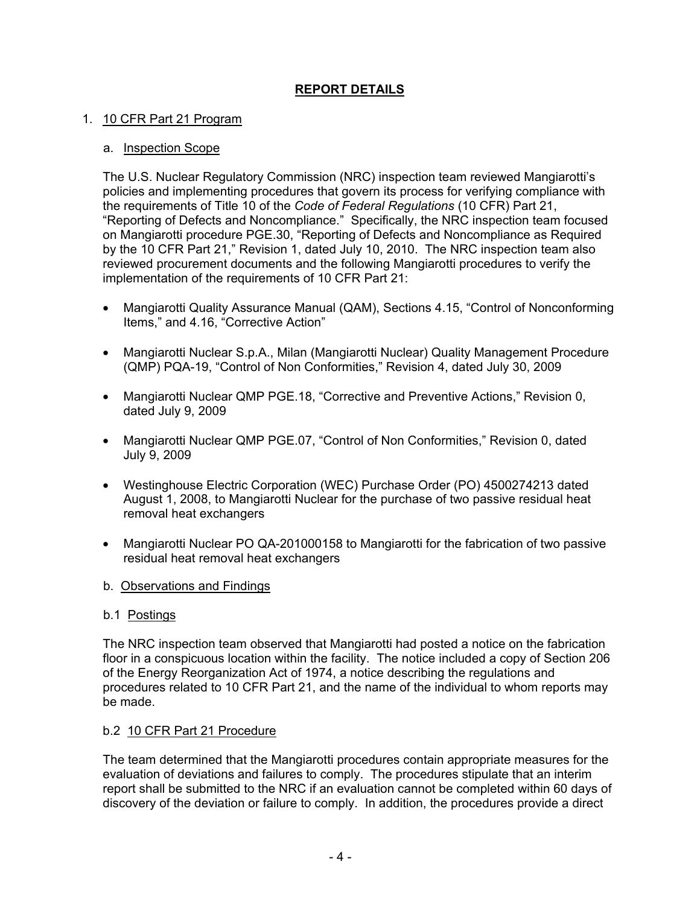# **REPORT DETAILS**

### 1. 10 CFR Part 21 Program

### a. Inspection Scope

The U.S. Nuclear Regulatory Commission (NRC) inspection team reviewed Mangiarotti's policies and implementing procedures that govern its process for verifying compliance with the requirements of Title 10 of the *Code of Federal Regulations* (10 CFR) Part 21, "Reporting of Defects and Noncompliance." Specifically, the NRC inspection team focused on Mangiarotti procedure PGE.30, "Reporting of Defects and Noncompliance as Required by the 10 CFR Part 21," Revision 1, dated July 10, 2010. The NRC inspection team also reviewed procurement documents and the following Mangiarotti procedures to verify the implementation of the requirements of 10 CFR Part 21:

- Mangiarotti Quality Assurance Manual (QAM), Sections 4.15, "Control of Nonconforming Items," and 4.16, "Corrective Action"
- Mangiarotti Nuclear S.p.A., Milan (Mangiarotti Nuclear) Quality Management Procedure (QMP) PQA-19, "Control of Non Conformities," Revision 4, dated July 30, 2009
- Mangiarotti Nuclear QMP PGE.18, "Corrective and Preventive Actions," Revision 0, dated July 9, 2009
- Mangiarotti Nuclear QMP PGE.07, "Control of Non Conformities," Revision 0, dated July 9, 2009
- Westinghouse Electric Corporation (WEC) Purchase Order (PO) 4500274213 dated August 1, 2008, to Mangiarotti Nuclear for the purchase of two passive residual heat removal heat exchangers
- Mangiarotti Nuclear PO QA-201000158 to Mangiarotti for the fabrication of two passive residual heat removal heat exchangers
- b. Observations and Findings

### b.1 Postings

The NRC inspection team observed that Mangiarotti had posted a notice on the fabrication floor in a conspicuous location within the facility. The notice included a copy of Section 206 of the Energy Reorganization Act of 1974, a notice describing the regulations and procedures related to 10 CFR Part 21, and the name of the individual to whom reports may be made.

### b.2 10 CFR Part 21 Procedure

The team determined that the Mangiarotti procedures contain appropriate measures for the evaluation of deviations and failures to comply. The procedures stipulate that an interim report shall be submitted to the NRC if an evaluation cannot be completed within 60 days of discovery of the deviation or failure to comply. In addition, the procedures provide a direct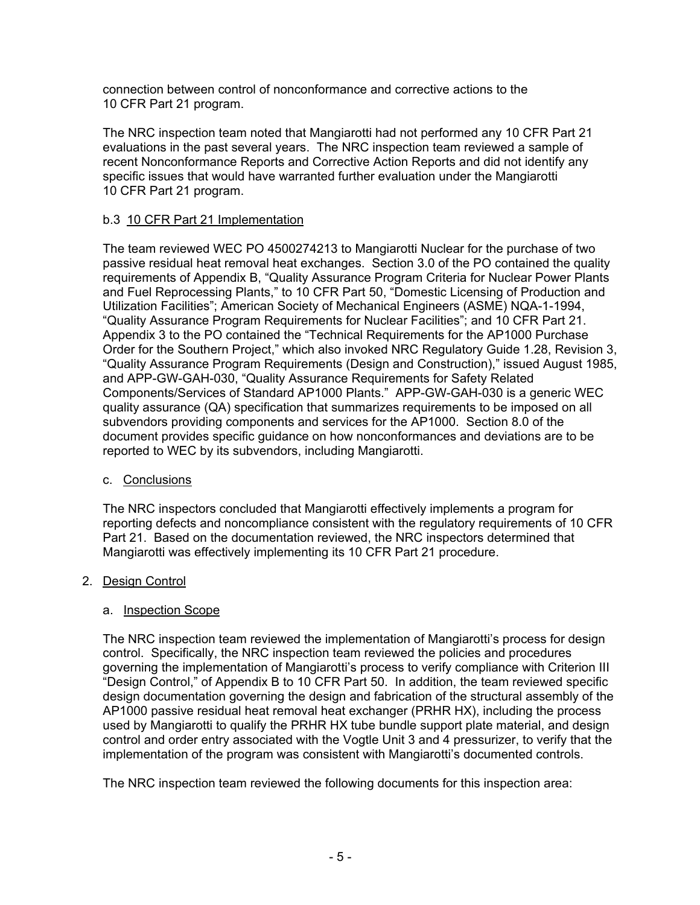connection between control of nonconformance and corrective actions to the 10 CFR Part 21 program.

The NRC inspection team noted that Mangiarotti had not performed any 10 CFR Part 21 evaluations in the past several years. The NRC inspection team reviewed a sample of recent Nonconformance Reports and Corrective Action Reports and did not identify any specific issues that would have warranted further evaluation under the Mangiarotti 10 CFR Part 21 program.

## b.3 10 CFR Part 21 Implementation

The team reviewed WEC PO 4500274213 to Mangiarotti Nuclear for the purchase of two passive residual heat removal heat exchanges. Section 3.0 of the PO contained the quality requirements of Appendix B, "Quality Assurance Program Criteria for Nuclear Power Plants and Fuel Reprocessing Plants," to 10 CFR Part 50, "Domestic Licensing of Production and Utilization Facilities"; American Society of Mechanical Engineers (ASME) NQA-1-1994, "Quality Assurance Program Requirements for Nuclear Facilities"; and 10 CFR Part 21. Appendix 3 to the PO contained the "Technical Requirements for the AP1000 Purchase Order for the Southern Project," which also invoked NRC Regulatory Guide 1.28, Revision 3, "Quality Assurance Program Requirements (Design and Construction)," issued August 1985, and APP-GW-GAH-030, "Quality Assurance Requirements for Safety Related Components/Services of Standard AP1000 Plants." APP-GW-GAH-030 is a generic WEC quality assurance (QA) specification that summarizes requirements to be imposed on all subvendors providing components and services for the AP1000. Section 8.0 of the document provides specific guidance on how nonconformances and deviations are to be reported to WEC by its subvendors, including Mangiarotti.

### c. Conclusions

The NRC inspectors concluded that Mangiarotti effectively implements a program for reporting defects and noncompliance consistent with the regulatory requirements of 10 CFR Part 21. Based on the documentation reviewed, the NRC inspectors determined that Mangiarotti was effectively implementing its 10 CFR Part 21 procedure.

### 2. Design Control

### a. Inspection Scope

The NRC inspection team reviewed the implementation of Mangiarotti's process for design control. Specifically, the NRC inspection team reviewed the policies and procedures governing the implementation of Mangiarotti's process to verify compliance with Criterion III "Design Control," of Appendix B to 10 CFR Part 50. In addition, the team reviewed specific design documentation governing the design and fabrication of the structural assembly of the AP1000 passive residual heat removal heat exchanger (PRHR HX), including the process used by Mangiarotti to qualify the PRHR HX tube bundle support plate material, and design control and order entry associated with the Vogtle Unit 3 and 4 pressurizer, to verify that the implementation of the program was consistent with Mangiarotti's documented controls.

The NRC inspection team reviewed the following documents for this inspection area: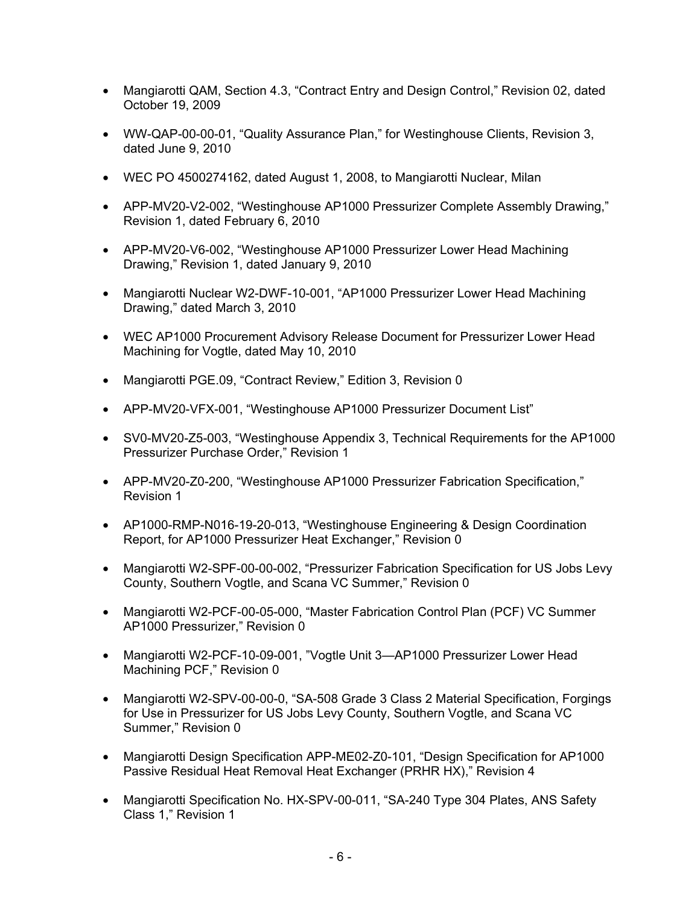- Mangiarotti QAM, Section 4.3, "Contract Entry and Design Control," Revision 02, dated October 19, 2009
- WW-QAP-00-00-01, "Quality Assurance Plan," for Westinghouse Clients, Revision 3, dated June 9, 2010
- WEC PO 4500274162, dated August 1, 2008, to Mangiarotti Nuclear, Milan
- APP-MV20-V2-002, "Westinghouse AP1000 Pressurizer Complete Assembly Drawing," Revision 1, dated February 6, 2010
- APP-MV20-V6-002, "Westinghouse AP1000 Pressurizer Lower Head Machining Drawing," Revision 1, dated January 9, 2010
- Mangiarotti Nuclear W2-DWF-10-001, "AP1000 Pressurizer Lower Head Machining Drawing," dated March 3, 2010
- WEC AP1000 Procurement Advisory Release Document for Pressurizer Lower Head Machining for Vogtle, dated May 10, 2010
- Mangiarotti PGE.09, "Contract Review," Edition 3, Revision 0
- APP-MV20-VFX-001, "Westinghouse AP1000 Pressurizer Document List"
- SV0-MV20-Z5-003, "Westinghouse Appendix 3, Technical Requirements for the AP1000 Pressurizer Purchase Order," Revision 1
- APP-MV20-Z0-200, "Westinghouse AP1000 Pressurizer Fabrication Specification," Revision 1
- AP1000-RMP-N016-19-20-013, "Westinghouse Engineering & Design Coordination Report, for AP1000 Pressurizer Heat Exchanger," Revision 0
- Mangiarotti W2-SPF-00-00-002, "Pressurizer Fabrication Specification for US Jobs Levy County, Southern Vogtle, and Scana VC Summer," Revision 0
- Mangiarotti W2-PCF-00-05-000, "Master Fabrication Control Plan (PCF) VC Summer AP1000 Pressurizer," Revision 0
- Mangiarotti W2-PCF-10-09-001, "Vogtle Unit 3—AP1000 Pressurizer Lower Head Machining PCF," Revision 0
- Mangiarotti W2-SPV-00-00-0, "SA-508 Grade 3 Class 2 Material Specification, Forgings for Use in Pressurizer for US Jobs Levy County, Southern Vogtle, and Scana VC Summer," Revision 0
- Mangiarotti Design Specification APP-ME02-Z0-101, "Design Specification for AP1000 Passive Residual Heat Removal Heat Exchanger (PRHR HX)," Revision 4
- Mangiarotti Specification No. HX-SPV-00-011, "SA-240 Type 304 Plates, ANS Safety Class 1," Revision 1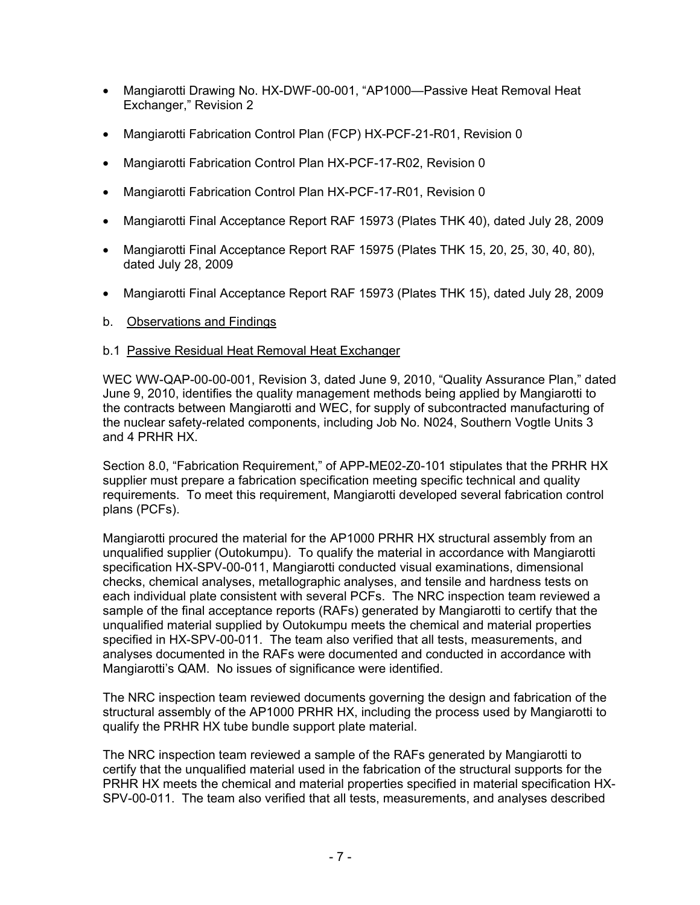- Mangiarotti Drawing No. HX-DWF-00-001, "AP1000—Passive Heat Removal Heat Exchanger," Revision 2
- Mangiarotti Fabrication Control Plan (FCP) HX-PCF-21-R01, Revision 0
- Mangiarotti Fabrication Control Plan HX-PCF-17-R02, Revision 0
- Mangiarotti Fabrication Control Plan HX-PCF-17-R01, Revision 0
- Mangiarotti Final Acceptance Report RAF 15973 (Plates THK 40), dated July 28, 2009
- Mangiarotti Final Acceptance Report RAF 15975 (Plates THK 15, 20, 25, 30, 40, 80), dated July 28, 2009
- Mangiarotti Final Acceptance Report RAF 15973 (Plates THK 15), dated July 28, 2009
- b. Observations and Findings

### b.1 Passive Residual Heat Removal Heat Exchanger

WEC WW-QAP-00-00-001, Revision 3, dated June 9, 2010, "Quality Assurance Plan," dated June 9, 2010, identifies the quality management methods being applied by Mangiarotti to the contracts between Mangiarotti and WEC, for supply of subcontracted manufacturing of the nuclear safety-related components, including Job No. N024, Southern Vogtle Units 3 and 4 PRHR HX.

Section 8.0, "Fabrication Requirement," of APP-ME02-Z0-101 stipulates that the PRHR HX supplier must prepare a fabrication specification meeting specific technical and quality requirements. To meet this requirement, Mangiarotti developed several fabrication control plans (PCFs).

Mangiarotti procured the material for the AP1000 PRHR HX structural assembly from an unqualified supplier (Outokumpu). To qualify the material in accordance with Mangiarotti specification HX-SPV-00-011, Mangiarotti conducted visual examinations, dimensional checks, chemical analyses, metallographic analyses, and tensile and hardness tests on each individual plate consistent with several PCFs. The NRC inspection team reviewed a sample of the final acceptance reports (RAFs) generated by Mangiarotti to certify that the unqualified material supplied by Outokumpu meets the chemical and material properties specified in HX-SPV-00-011. The team also verified that all tests, measurements, and analyses documented in the RAFs were documented and conducted in accordance with Mangiarotti's QAM. No issues of significance were identified.

The NRC inspection team reviewed documents governing the design and fabrication of the structural assembly of the AP1000 PRHR HX, including the process used by Mangiarotti to qualify the PRHR HX tube bundle support plate material.

The NRC inspection team reviewed a sample of the RAFs generated by Mangiarotti to certify that the unqualified material used in the fabrication of the structural supports for the PRHR HX meets the chemical and material properties specified in material specification HX-SPV-00-011. The team also verified that all tests, measurements, and analyses described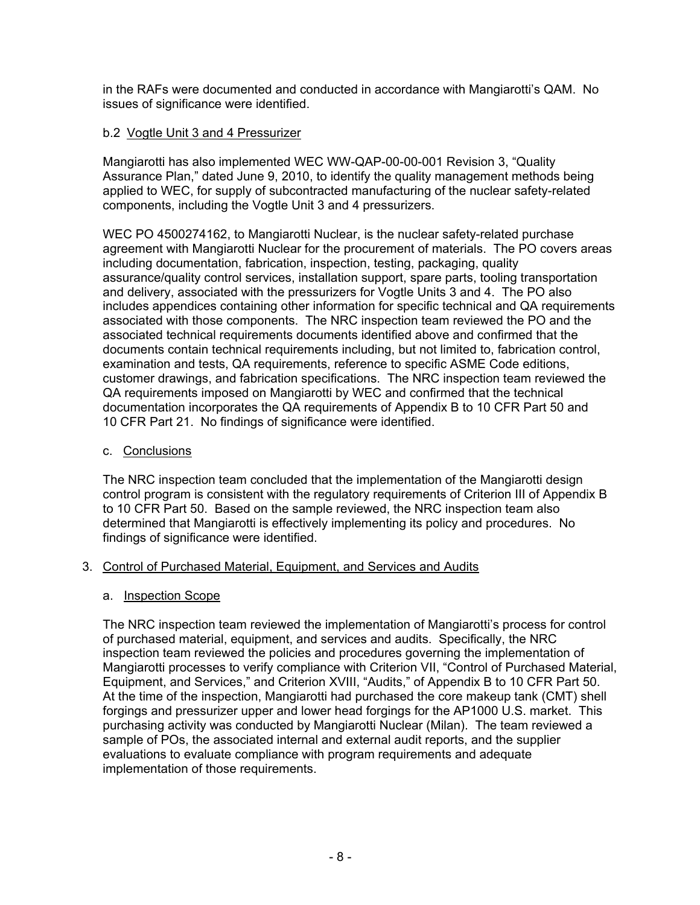in the RAFs were documented and conducted in accordance with Mangiarotti's QAM. No issues of significance were identified.

### b.2 Vogtle Unit 3 and 4 Pressurizer

Mangiarotti has also implemented WEC WW-QAP-00-00-001 Revision 3, "Quality Assurance Plan," dated June 9, 2010, to identify the quality management methods being applied to WEC, for supply of subcontracted manufacturing of the nuclear safety-related components, including the Vogtle Unit 3 and 4 pressurizers.

WEC PO 4500274162, to Mangiarotti Nuclear, is the nuclear safety-related purchase agreement with Mangiarotti Nuclear for the procurement of materials. The PO covers areas including documentation, fabrication, inspection, testing, packaging, quality assurance/quality control services, installation support, spare parts, tooling transportation and delivery, associated with the pressurizers for Vogtle Units 3 and 4. The PO also includes appendices containing other information for specific technical and QA requirements associated with those components. The NRC inspection team reviewed the PO and the associated technical requirements documents identified above and confirmed that the documents contain technical requirements including, but not limited to, fabrication control, examination and tests, QA requirements, reference to specific ASME Code editions, customer drawings, and fabrication specifications. The NRC inspection team reviewed the QA requirements imposed on Mangiarotti by WEC and confirmed that the technical documentation incorporates the QA requirements of Appendix B to 10 CFR Part 50 and 10 CFR Part 21. No findings of significance were identified.

### c. Conclusions

The NRC inspection team concluded that the implementation of the Mangiarotti design control program is consistent with the regulatory requirements of Criterion III of Appendix B to 10 CFR Part 50. Based on the sample reviewed, the NRC inspection team also determined that Mangiarotti is effectively implementing its policy and procedures. No findings of significance were identified.

### 3. Control of Purchased Material, Equipment, and Services and Audits

### a. Inspection Scope

The NRC inspection team reviewed the implementation of Mangiarotti's process for control of purchased material, equipment, and services and audits. Specifically, the NRC inspection team reviewed the policies and procedures governing the implementation of Mangiarotti processes to verify compliance with Criterion VII, "Control of Purchased Material, Equipment, and Services," and Criterion XVIII, "Audits," of Appendix B to 10 CFR Part 50. At the time of the inspection, Mangiarotti had purchased the core makeup tank (CMT) shell forgings and pressurizer upper and lower head forgings for the AP1000 U.S. market. This purchasing activity was conducted by Mangiarotti Nuclear (Milan). The team reviewed a sample of POs, the associated internal and external audit reports, and the supplier evaluations to evaluate compliance with program requirements and adequate implementation of those requirements.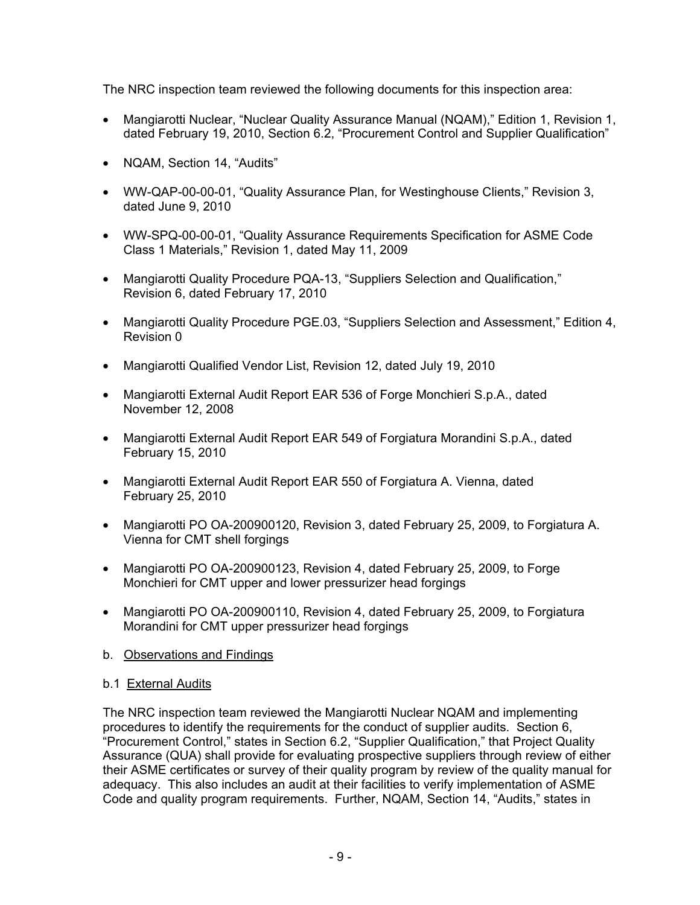The NRC inspection team reviewed the following documents for this inspection area:

- Mangiarotti Nuclear, "Nuclear Quality Assurance Manual (NQAM)," Edition 1, Revision 1, dated February 19, 2010, Section 6.2, "Procurement Control and Supplier Qualification"
- NQAM, Section 14, "Audits"
- WW-QAP-00-00-01, "Quality Assurance Plan, for Westinghouse Clients," Revision 3, dated June 9, 2010
- WW-SPQ-00-00-01, "Quality Assurance Requirements Specification for ASME Code Class 1 Materials," Revision 1, dated May 11, 2009
- Mangiarotti Quality Procedure PQA-13, "Suppliers Selection and Qualification," Revision 6, dated February 17, 2010
- Mangiarotti Quality Procedure PGE.03, "Suppliers Selection and Assessment," Edition 4, Revision 0
- Mangiarotti Qualified Vendor List, Revision 12, dated July 19, 2010
- Mangiarotti External Audit Report EAR 536 of Forge Monchieri S.p.A., dated November 12, 2008
- Mangiarotti External Audit Report EAR 549 of Forgiatura Morandini S.p.A., dated February 15, 2010
- Mangiarotti External Audit Report EAR 550 of Forgiatura A. Vienna, dated February 25, 2010
- Mangiarotti PO OA-200900120, Revision 3, dated February 25, 2009, to Forgiatura A. Vienna for CMT shell forgings
- Mangiarotti PO OA-200900123, Revision 4, dated February 25, 2009, to Forge Monchieri for CMT upper and lower pressurizer head forgings
- Mangiarotti PO OA-200900110, Revision 4, dated February 25, 2009, to Forgiatura Morandini for CMT upper pressurizer head forgings
- b. Observations and Findings

### b.1 External Audits

The NRC inspection team reviewed the Mangiarotti Nuclear NQAM and implementing procedures to identify the requirements for the conduct of supplier audits. Section 6, "Procurement Control," states in Section 6.2, "Supplier Qualification," that Project Quality Assurance (QUA) shall provide for evaluating prospective suppliers through review of either their ASME certificates or survey of their quality program by review of the quality manual for adequacy. This also includes an audit at their facilities to verify implementation of ASME Code and quality program requirements. Further, NQAM, Section 14, "Audits," states in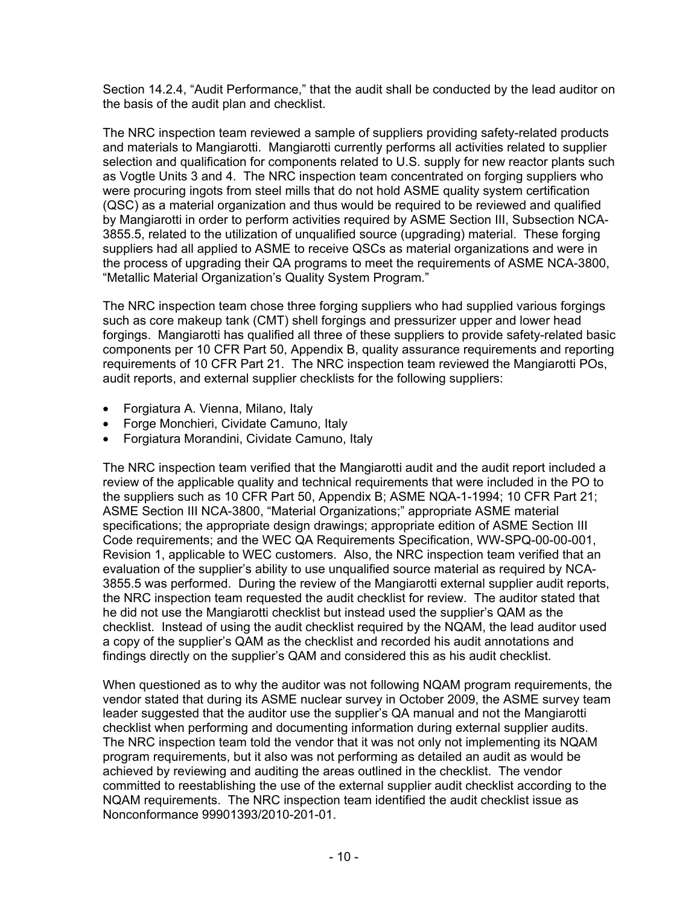Section 14.2.4, "Audit Performance," that the audit shall be conducted by the lead auditor on the basis of the audit plan and checklist.

The NRC inspection team reviewed a sample of suppliers providing safety-related products and materials to Mangiarotti. Mangiarotti currently performs all activities related to supplier selection and qualification for components related to U.S. supply for new reactor plants such as Vogtle Units 3 and 4. The NRC inspection team concentrated on forging suppliers who were procuring ingots from steel mills that do not hold ASME quality system certification (QSC) as a material organization and thus would be required to be reviewed and qualified by Mangiarotti in order to perform activities required by ASME Section III, Subsection NCA-3855.5, related to the utilization of unqualified source (upgrading) material. These forging suppliers had all applied to ASME to receive QSCs as material organizations and were in the process of upgrading their QA programs to meet the requirements of ASME NCA-3800, "Metallic Material Organization's Quality System Program."

The NRC inspection team chose three forging suppliers who had supplied various forgings such as core makeup tank (CMT) shell forgings and pressurizer upper and lower head forgings. Mangiarotti has qualified all three of these suppliers to provide safety-related basic components per 10 CFR Part 50, Appendix B, quality assurance requirements and reporting requirements of 10 CFR Part 21. The NRC inspection team reviewed the Mangiarotti POs, audit reports, and external supplier checklists for the following suppliers:

- Forgiatura A. Vienna, Milano, Italy
- Forge Monchieri, Cividate Camuno, Italy
- Forgiatura Morandini, Cividate Camuno, Italy

The NRC inspection team verified that the Mangiarotti audit and the audit report included a review of the applicable quality and technical requirements that were included in the PO to the suppliers such as 10 CFR Part 50, Appendix B; ASME NQA-1-1994; 10 CFR Part 21; ASME Section III NCA-3800, "Material Organizations;" appropriate ASME material specifications; the appropriate design drawings; appropriate edition of ASME Section III Code requirements; and the WEC QA Requirements Specification, WW-SPQ-00-00-001, Revision 1, applicable to WEC customers. Also, the NRC inspection team verified that an evaluation of the supplier's ability to use unqualified source material as required by NCA-3855.5 was performed. During the review of the Mangiarotti external supplier audit reports, the NRC inspection team requested the audit checklist for review. The auditor stated that he did not use the Mangiarotti checklist but instead used the supplier's QAM as the checklist. Instead of using the audit checklist required by the NQAM, the lead auditor used a copy of the supplier's QAM as the checklist and recorded his audit annotations and findings directly on the supplier's QAM and considered this as his audit checklist.

When questioned as to why the auditor was not following NQAM program requirements, the vendor stated that during its ASME nuclear survey in October 2009, the ASME survey team leader suggested that the auditor use the supplier's QA manual and not the Mangiarotti checklist when performing and documenting information during external supplier audits. The NRC inspection team told the vendor that it was not only not implementing its NQAM program requirements, but it also was not performing as detailed an audit as would be achieved by reviewing and auditing the areas outlined in the checklist. The vendor committed to reestablishing the use of the external supplier audit checklist according to the NQAM requirements. The NRC inspection team identified the audit checklist issue as Nonconformance 99901393/2010-201-01.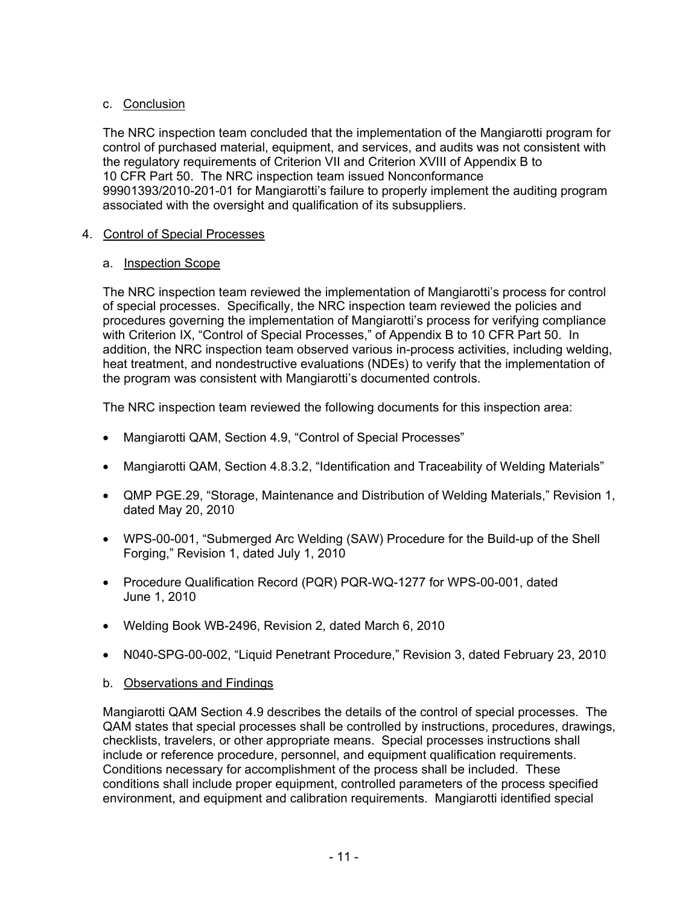# c. Conclusion

The NRC inspection team concluded that the implementation of the Mangiarotti program for control of purchased material, equipment, and services, and audits was not consistent with the regulatory requirements of Criterion VII and Criterion XVIII of Appendix B to 10 CFR Part 50. The NRC inspection team issued Nonconformance 99901393/2010-201-01 for Mangiarotti's failure to properly implement the auditing program associated with the oversight and qualification of its subsuppliers.

### 4. Control of Special Processes

### a. Inspection Scope

The NRC inspection team reviewed the implementation of Mangiarotti's process for control of special processes. Specifically, the NRC inspection team reviewed the policies and procedures governing the implementation of Mangiarotti's process for verifying compliance with Criterion IX, "Control of Special Processes," of Appendix B to 10 CFR Part 50. In addition, the NRC inspection team observed various in-process activities, including welding, heat treatment, and nondestructive evaluations (NDEs) to verify that the implementation of the program was consistent with Mangiarotti's documented controls.

The NRC inspection team reviewed the following documents for this inspection area:

- Mangiarotti QAM, Section 4.9, "Control of Special Processes"
- Mangiarotti QAM, Section 4.8.3.2, "Identification and Traceability of Welding Materials"
- QMP PGE.29, "Storage, Maintenance and Distribution of Welding Materials," Revision 1, dated May 20, 2010
- WPS-00-001, "Submerged Arc Welding (SAW) Procedure for the Build-up of the Shell Forging," Revision 1, dated July 1, 2010
- Procedure Qualification Record (PQR) PQR-WQ-1277 for WPS-00-001, dated June 1, 2010
- Welding Book WB-2496, Revision 2, dated March 6, 2010
- N040-SPG-00-002, "Liquid Penetrant Procedure," Revision 3, dated February 23, 2010
- b. Observations and Findings

Mangiarotti QAM Section 4.9 describes the details of the control of special processes. The QAM states that special processes shall be controlled by instructions, procedures, drawings, checklists, travelers, or other appropriate means. Special processes instructions shall include or reference procedure, personnel, and equipment qualification requirements. Conditions necessary for accomplishment of the process shall be included. These conditions shall include proper equipment, controlled parameters of the process specified environment, and equipment and calibration requirements. Mangiarotti identified special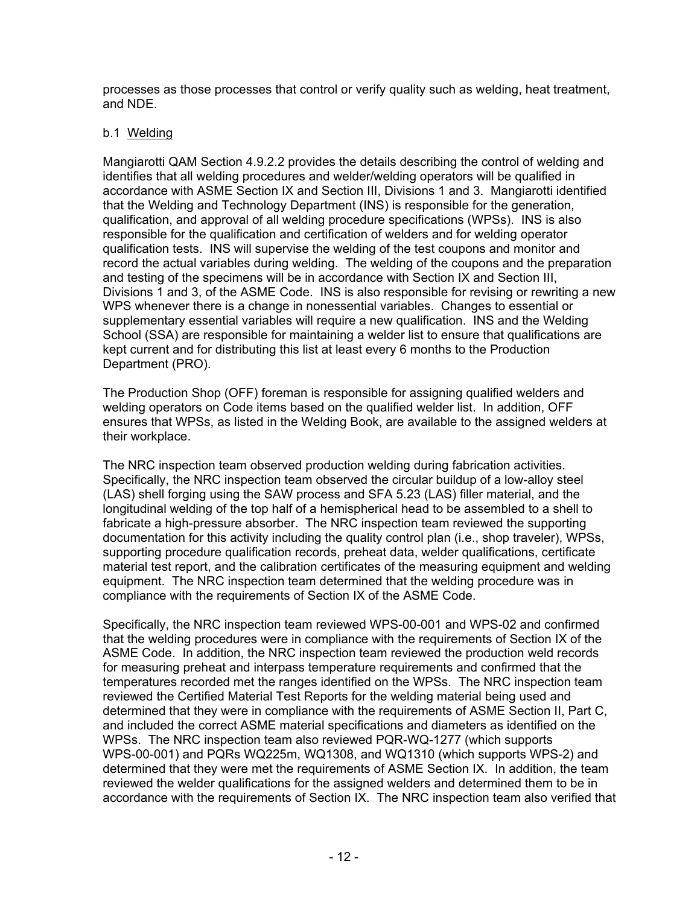processes as those processes that control or verify quality such as welding, heat treatment, and NDE.

### b.1 Welding

Mangiarotti QAM Section 4.9.2.2 provides the details describing the control of welding and identifies that all welding procedures and welder/welding operators will be qualified in accordance with ASME Section IX and Section III, Divisions 1 and 3. Mangiarotti identified that the Welding and Technology Department (INS) is responsible for the generation, qualification, and approval of all welding procedure specifications (WPSs). INS is also responsible for the qualification and certification of welders and for welding operator qualification tests. INS will supervise the welding of the test coupons and monitor and record the actual variables during welding. The welding of the coupons and the preparation and testing of the specimens will be in accordance with Section IX and Section III, Divisions 1 and 3, of the ASME Code. INS is also responsible for revising or rewriting a new WPS whenever there is a change in nonessential variables. Changes to essential or supplementary essential variables will require a new qualification. INS and the Welding School (SSA) are responsible for maintaining a welder list to ensure that qualifications are kept current and for distributing this list at least every 6 months to the Production Department (PRO).

The Production Shop (OFF) foreman is responsible for assigning qualified welders and welding operators on Code items based on the qualified welder list. In addition, OFF ensures that WPSs, as listed in the Welding Book, are available to the assigned welders at their workplace.

The NRC inspection team observed production welding during fabrication activities. Specifically, the NRC inspection team observed the circular buildup of a low-alloy steel (LAS) shell forging using the SAW process and SFA 5.23 (LAS) filler material, and the longitudinal welding of the top half of a hemispherical head to be assembled to a shell to fabricate a high-pressure absorber. The NRC inspection team reviewed the supporting documentation for this activity including the quality control plan (i.e., shop traveler), WPSs, supporting procedure qualification records, preheat data, welder qualifications, certificate material test report, and the calibration certificates of the measuring equipment and welding equipment. The NRC inspection team determined that the welding procedure was in compliance with the requirements of Section IX of the ASME Code.

Specifically, the NRC inspection team reviewed WPS-00-001 and WPS-02 and confirmed that the welding procedures were in compliance with the requirements of Section IX of the ASME Code. In addition, the NRC inspection team reviewed the production weld records for measuring preheat and interpass temperature requirements and confirmed that the temperatures recorded met the ranges identified on the WPSs. The NRC inspection team reviewed the Certified Material Test Reports for the welding material being used and determined that they were in compliance with the requirements of ASME Section II, Part C, and included the correct ASME material specifications and diameters as identified on the WPSs. The NRC inspection team also reviewed PQR-WQ-1277 (which supports WPS-00-001) and PQRs WQ225m, WQ1308, and WQ1310 (which supports WPS-2) and determined that they were met the requirements of ASME Section IX. In addition, the team reviewed the welder qualifications for the assigned welders and determined them to be in accordance with the requirements of Section IX. The NRC inspection team also verified that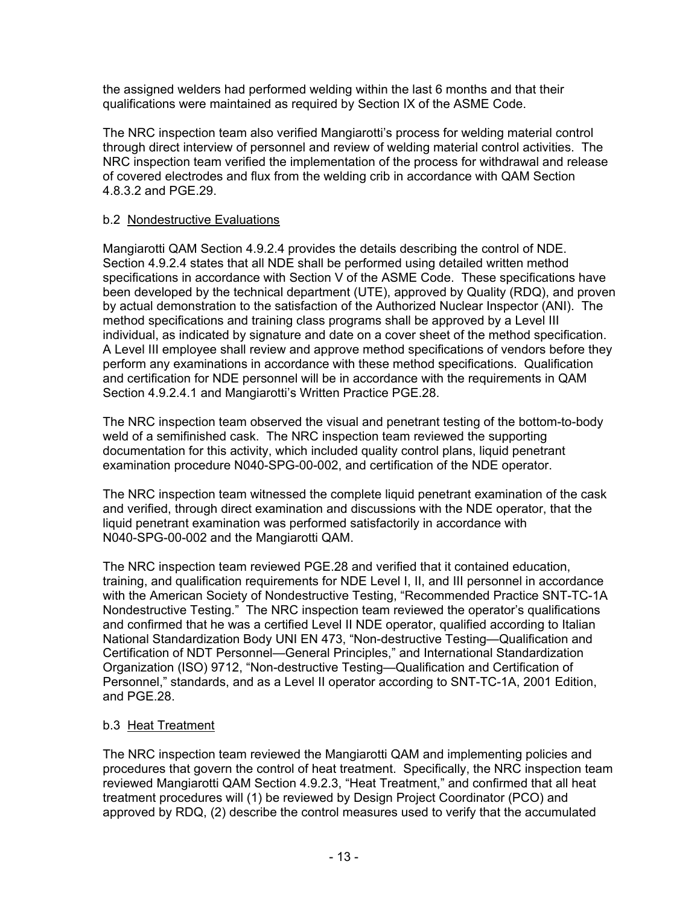the assigned welders had performed welding within the last 6 months and that their qualifications were maintained as required by Section IX of the ASME Code.

The NRC inspection team also verified Mangiarotti's process for welding material control through direct interview of personnel and review of welding material control activities. The NRC inspection team verified the implementation of the process for withdrawal and release of covered electrodes and flux from the welding crib in accordance with QAM Section 4.8.3.2 and PGE.29.

### b.2 Nondestructive Evaluations

Mangiarotti QAM Section 4.9.2.4 provides the details describing the control of NDE. Section 4.9.2.4 states that all NDE shall be performed using detailed written method specifications in accordance with Section V of the ASME Code. These specifications have been developed by the technical department (UTE), approved by Quality (RDQ), and proven by actual demonstration to the satisfaction of the Authorized Nuclear Inspector (ANI). The method specifications and training class programs shall be approved by a Level III individual, as indicated by signature and date on a cover sheet of the method specification. A Level III employee shall review and approve method specifications of vendors before they perform any examinations in accordance with these method specifications. Qualification and certification for NDE personnel will be in accordance with the requirements in QAM Section 4.9.2.4.1 and Mangiarotti's Written Practice PGE.28.

The NRC inspection team observed the visual and penetrant testing of the bottom-to-body weld of a semifinished cask. The NRC inspection team reviewed the supporting documentation for this activity, which included quality control plans, liquid penetrant examination procedure N040-SPG-00-002, and certification of the NDE operator.

The NRC inspection team witnessed the complete liquid penetrant examination of the cask and verified, through direct examination and discussions with the NDE operator, that the liquid penetrant examination was performed satisfactorily in accordance with N040-SPG-00-002 and the Mangiarotti QAM.

The NRC inspection team reviewed PGE.28 and verified that it contained education, training, and qualification requirements for NDE Level I, II, and III personnel in accordance with the American Society of Nondestructive Testing, "Recommended Practice SNT-TC-1A Nondestructive Testing." The NRC inspection team reviewed the operator's qualifications and confirmed that he was a certified Level II NDE operator, qualified according to Italian National Standardization Body UNI EN 473, "Non-destructive Testing—Qualification and Certification of NDT Personnel—General Principles," and International Standardization Organization (ISO) 9712, "Non-destructive Testing—Qualification and Certification of Personnel," standards, and as a Level II operator according to SNT-TC-1A, 2001 Edition, and PGE.28.

### b.3 Heat Treatment

The NRC inspection team reviewed the Mangiarotti QAM and implementing policies and procedures that govern the control of heat treatment. Specifically, the NRC inspection team reviewed Mangiarotti QAM Section 4.9.2.3, "Heat Treatment," and confirmed that all heat treatment procedures will (1) be reviewed by Design Project Coordinator (PCO) and approved by RDQ, (2) describe the control measures used to verify that the accumulated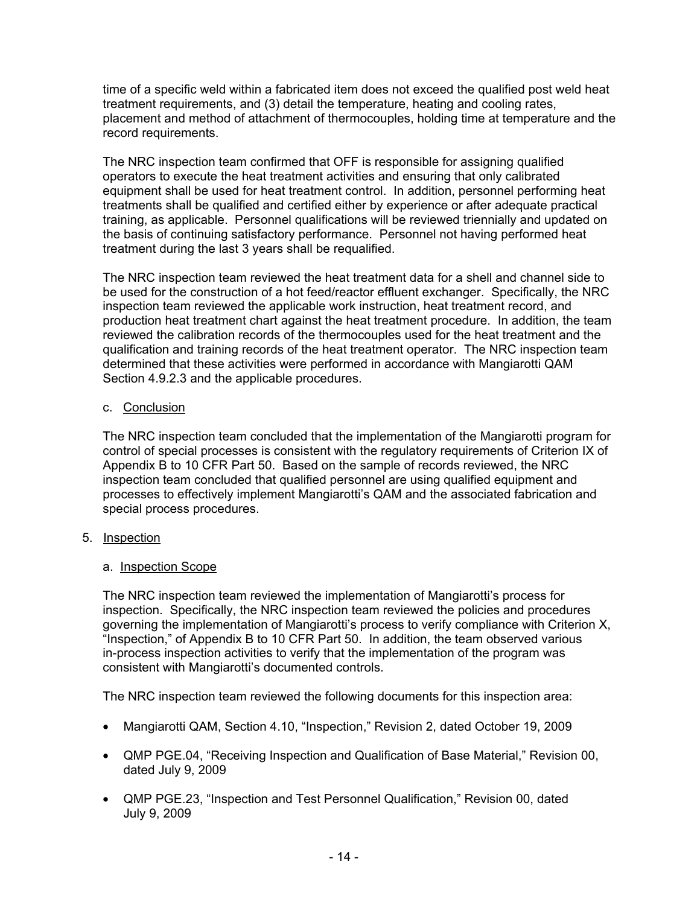time of a specific weld within a fabricated item does not exceed the qualified post weld heat treatment requirements, and (3) detail the temperature, heating and cooling rates, placement and method of attachment of thermocouples, holding time at temperature and the record requirements.

The NRC inspection team confirmed that OFF is responsible for assigning qualified operators to execute the heat treatment activities and ensuring that only calibrated equipment shall be used for heat treatment control. In addition, personnel performing heat treatments shall be qualified and certified either by experience or after adequate practical training, as applicable. Personnel qualifications will be reviewed triennially and updated on the basis of continuing satisfactory performance. Personnel not having performed heat treatment during the last 3 years shall be requalified.

The NRC inspection team reviewed the heat treatment data for a shell and channel side to be used for the construction of a hot feed/reactor effluent exchanger. Specifically, the NRC inspection team reviewed the applicable work instruction, heat treatment record, and production heat treatment chart against the heat treatment procedure. In addition, the team reviewed the calibration records of the thermocouples used for the heat treatment and the qualification and training records of the heat treatment operator. The NRC inspection team determined that these activities were performed in accordance with Mangiarotti QAM Section 4.9.2.3 and the applicable procedures.

### c. Conclusion

The NRC inspection team concluded that the implementation of the Mangiarotti program for control of special processes is consistent with the regulatory requirements of Criterion IX of Appendix B to 10 CFR Part 50. Based on the sample of records reviewed, the NRC inspection team concluded that qualified personnel are using qualified equipment and processes to effectively implement Mangiarotti's QAM and the associated fabrication and special process procedures.

5. Inspection

# a. Inspection Scope

The NRC inspection team reviewed the implementation of Mangiarotti's process for inspection. Specifically, the NRC inspection team reviewed the policies and procedures governing the implementation of Mangiarotti's process to verify compliance with Criterion X, "Inspection," of Appendix B to 10 CFR Part 50. In addition, the team observed various in-process inspection activities to verify that the implementation of the program was consistent with Mangiarotti's documented controls.

The NRC inspection team reviewed the following documents for this inspection area:

- Mangiarotti QAM, Section 4.10, "Inspection," Revision 2, dated October 19, 2009
- QMP PGE.04, "Receiving Inspection and Qualification of Base Material," Revision 00, dated July 9, 2009
- QMP PGE.23, "Inspection and Test Personnel Qualification," Revision 00, dated July 9, 2009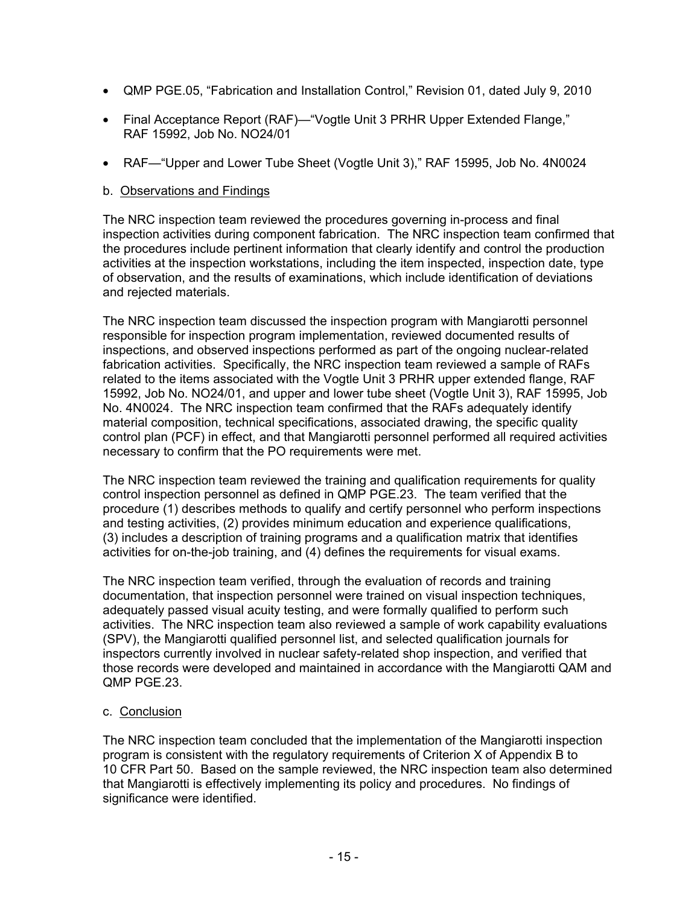- QMP PGE.05, "Fabrication and Installation Control," Revision 01, dated July 9, 2010
- Final Acceptance Report (RAF)—"Vogtle Unit 3 PRHR Upper Extended Flange," RAF 15992, Job No. NO24/01
- RAF—"Upper and Lower Tube Sheet (Vogtle Unit 3)," RAF 15995, Job No. 4N0024

### b. Observations and Findings

The NRC inspection team reviewed the procedures governing in-process and final inspection activities during component fabrication. The NRC inspection team confirmed that the procedures include pertinent information that clearly identify and control the production activities at the inspection workstations, including the item inspected, inspection date, type of observation, and the results of examinations, which include identification of deviations and rejected materials.

The NRC inspection team discussed the inspection program with Mangiarotti personnel responsible for inspection program implementation, reviewed documented results of inspections, and observed inspections performed as part of the ongoing nuclear-related fabrication activities. Specifically, the NRC inspection team reviewed a sample of RAFs related to the items associated with the Vogtle Unit 3 PRHR upper extended flange, RAF 15992, Job No. NO24/01, and upper and lower tube sheet (Vogtle Unit 3), RAF 15995, Job No. 4N0024. The NRC inspection team confirmed that the RAFs adequately identify material composition, technical specifications, associated drawing, the specific quality control plan (PCF) in effect, and that Mangiarotti personnel performed all required activities necessary to confirm that the PO requirements were met.

The NRC inspection team reviewed the training and qualification requirements for quality control inspection personnel as defined in QMP PGE.23. The team verified that the procedure (1) describes methods to qualify and certify personnel who perform inspections and testing activities, (2) provides minimum education and experience qualifications, (3) includes a description of training programs and a qualification matrix that identifies activities for on-the-job training, and (4) defines the requirements for visual exams.

The NRC inspection team verified, through the evaluation of records and training documentation, that inspection personnel were trained on visual inspection techniques, adequately passed visual acuity testing, and were formally qualified to perform such activities. The NRC inspection team also reviewed a sample of work capability evaluations (SPV), the Mangiarotti qualified personnel list, and selected qualification journals for inspectors currently involved in nuclear safety-related shop inspection, and verified that those records were developed and maintained in accordance with the Mangiarotti QAM and QMP PGE.23.

### c. Conclusion

The NRC inspection team concluded that the implementation of the Mangiarotti inspection program is consistent with the regulatory requirements of Criterion X of Appendix B to 10 CFR Part 50. Based on the sample reviewed, the NRC inspection team also determined that Mangiarotti is effectively implementing its policy and procedures. No findings of significance were identified.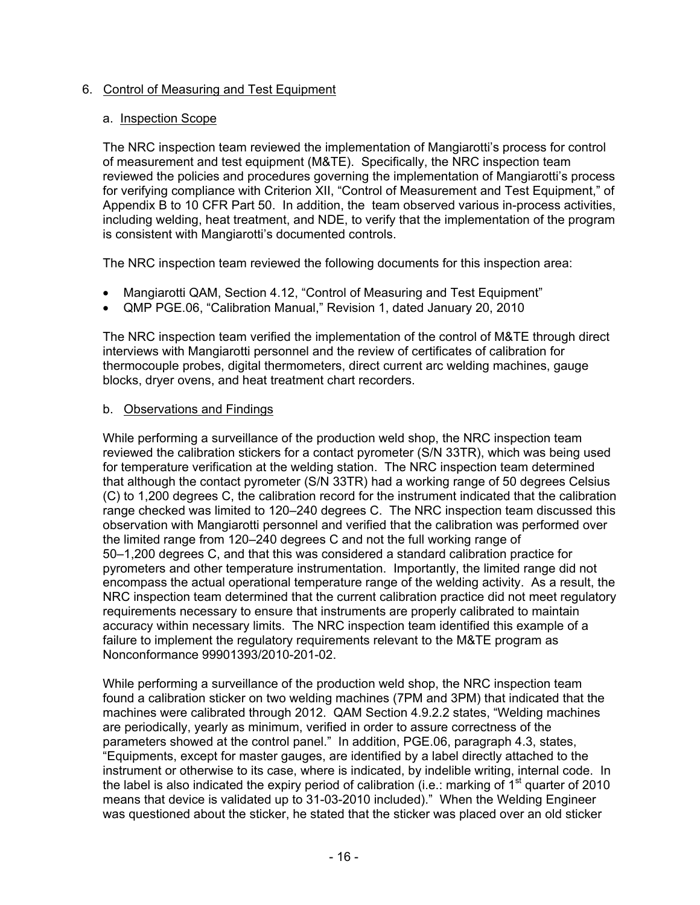### 6. Control of Measuring and Test Equipment

### a. Inspection Scope

The NRC inspection team reviewed the implementation of Mangiarotti's process for control of measurement and test equipment (M&TE). Specifically, the NRC inspection team reviewed the policies and procedures governing the implementation of Mangiarotti's process for verifying compliance with Criterion XII, "Control of Measurement and Test Equipment," of Appendix B to 10 CFR Part 50. In addition, the team observed various in-process activities, including welding, heat treatment, and NDE, to verify that the implementation of the program is consistent with Mangiarotti's documented controls.

The NRC inspection team reviewed the following documents for this inspection area:

- Mangiarotti QAM, Section 4.12, "Control of Measuring and Test Equipment"
- QMP PGE.06, "Calibration Manual," Revision 1, dated January 20, 2010

The NRC inspection team verified the implementation of the control of M&TE through direct interviews with Mangiarotti personnel and the review of certificates of calibration for thermocouple probes, digital thermometers, direct current arc welding machines, gauge blocks, dryer ovens, and heat treatment chart recorders.

### b. Observations and Findings

While performing a surveillance of the production weld shop, the NRC inspection team reviewed the calibration stickers for a contact pyrometer (S/N 33TR), which was being used for temperature verification at the welding station. The NRC inspection team determined that although the contact pyrometer (S/N 33TR) had a working range of 50 degrees Celsius (C) to 1,200 degrees C, the calibration record for the instrument indicated that the calibration range checked was limited to 120–240 degrees C. The NRC inspection team discussed this observation with Mangiarotti personnel and verified that the calibration was performed over the limited range from 120–240 degrees C and not the full working range of 50–1,200 degrees C, and that this was considered a standard calibration practice for pyrometers and other temperature instrumentation. Importantly, the limited range did not encompass the actual operational temperature range of the welding activity. As a result, the NRC inspection team determined that the current calibration practice did not meet regulatory requirements necessary to ensure that instruments are properly calibrated to maintain accuracy within necessary limits. The NRC inspection team identified this example of a failure to implement the regulatory requirements relevant to the M&TE program as Nonconformance 99901393/2010-201-02.

While performing a surveillance of the production weld shop, the NRC inspection team found a calibration sticker on two welding machines (7PM and 3PM) that indicated that the machines were calibrated through 2012. QAM Section 4.9.2.2 states, "Welding machines are periodically, yearly as minimum, verified in order to assure correctness of the parameters showed at the control panel." In addition, PGE.06, paragraph 4.3, states, "Equipments, except for master gauges, are identified by a label directly attached to the instrument or otherwise to its case, where is indicated, by indelible writing, internal code. In the label is also indicated the expiry period of calibration (i.e.: marking of  $1<sup>st</sup>$  quarter of 2010 means that device is validated up to 31-03-2010 included)." When the Welding Engineer was questioned about the sticker, he stated that the sticker was placed over an old sticker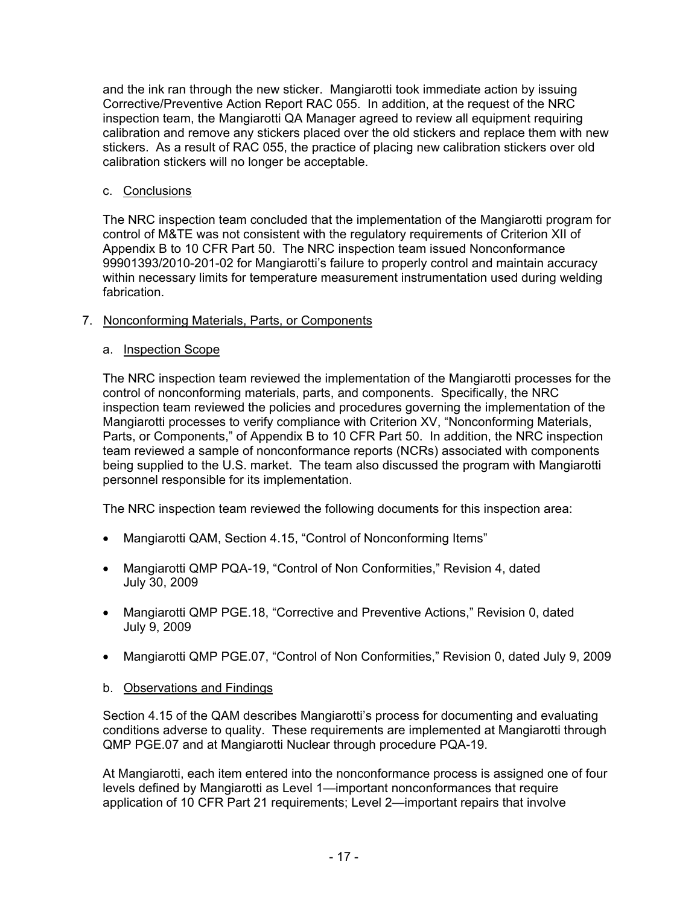and the ink ran through the new sticker. Mangiarotti took immediate action by issuing Corrective/Preventive Action Report RAC 055. In addition, at the request of the NRC inspection team, the Mangiarotti QA Manager agreed to review all equipment requiring calibration and remove any stickers placed over the old stickers and replace them with new stickers. As a result of RAC 055, the practice of placing new calibration stickers over old calibration stickers will no longer be acceptable.

### c. Conclusions

The NRC inspection team concluded that the implementation of the Mangiarotti program for control of M&TE was not consistent with the regulatory requirements of Criterion XII of Appendix B to 10 CFR Part 50. The NRC inspection team issued Nonconformance 99901393/2010-201-02 for Mangiarotti's failure to properly control and maintain accuracy within necessary limits for temperature measurement instrumentation used during welding fabrication.

# 7. Nonconforming Materials, Parts, or Components

### a. Inspection Scope

The NRC inspection team reviewed the implementation of the Mangiarotti processes for the control of nonconforming materials, parts, and components. Specifically, the NRC inspection team reviewed the policies and procedures governing the implementation of the Mangiarotti processes to verify compliance with Criterion XV, "Nonconforming Materials, Parts, or Components," of Appendix B to 10 CFR Part 50. In addition, the NRC inspection team reviewed a sample of nonconformance reports (NCRs) associated with components being supplied to the U.S. market. The team also discussed the program with Mangiarotti personnel responsible for its implementation.

The NRC inspection team reviewed the following documents for this inspection area:

- Mangiarotti QAM, Section 4.15, "Control of Nonconforming Items"
- Mangiarotti QMP PQA-19, "Control of Non Conformities," Revision 4, dated July 30, 2009
- Mangiarotti QMP PGE.18, "Corrective and Preventive Actions," Revision 0, dated July 9, 2009
- Mangiarotti QMP PGE.07, "Control of Non Conformities," Revision 0, dated July 9, 2009
- b. Observations and Findings

Section 4.15 of the QAM describes Mangiarotti's process for documenting and evaluating conditions adverse to quality. These requirements are implemented at Mangiarotti through QMP PGE.07 and at Mangiarotti Nuclear through procedure PQA-19.

At Mangiarotti, each item entered into the nonconformance process is assigned one of four levels defined by Mangiarotti as Level 1—important nonconformances that require application of 10 CFR Part 21 requirements; Level 2—important repairs that involve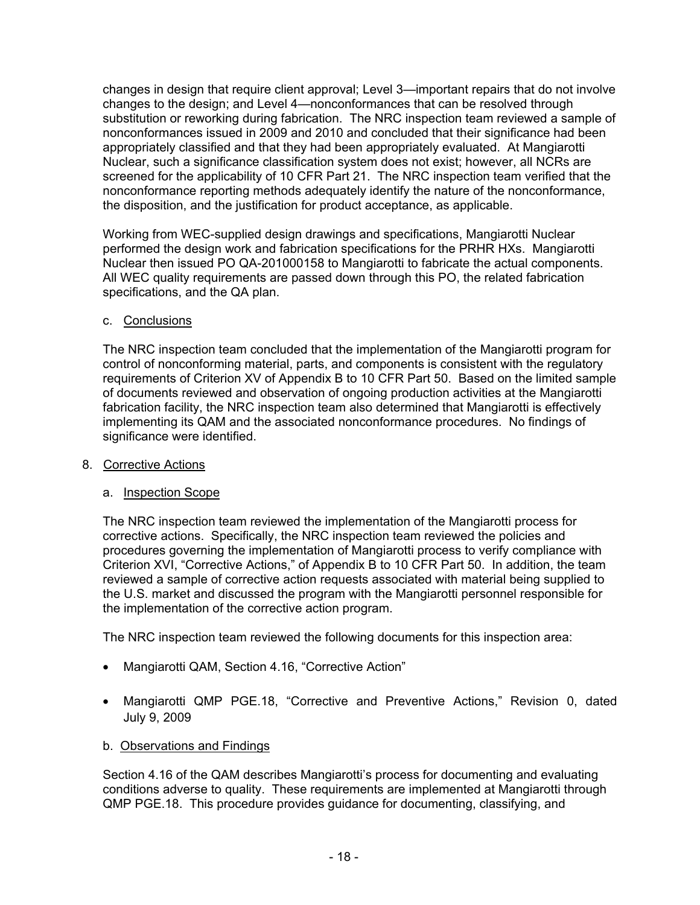changes in design that require client approval; Level 3—important repairs that do not involve changes to the design; and Level 4—nonconformances that can be resolved through substitution or reworking during fabrication. The NRC inspection team reviewed a sample of nonconformances issued in 2009 and 2010 and concluded that their significance had been appropriately classified and that they had been appropriately evaluated. At Mangiarotti Nuclear, such a significance classification system does not exist; however, all NCRs are screened for the applicability of 10 CFR Part 21. The NRC inspection team verified that the nonconformance reporting methods adequately identify the nature of the nonconformance, the disposition, and the justification for product acceptance, as applicable.

Working from WEC-supplied design drawings and specifications, Mangiarotti Nuclear performed the design work and fabrication specifications for the PRHR HXs. Mangiarotti Nuclear then issued PO QA-201000158 to Mangiarotti to fabricate the actual components. All WEC quality requirements are passed down through this PO, the related fabrication specifications, and the QA plan.

# c. Conclusions

The NRC inspection team concluded that the implementation of the Mangiarotti program for control of nonconforming material, parts, and components is consistent with the regulatory requirements of Criterion XV of Appendix B to 10 CFR Part 50. Based on the limited sample of documents reviewed and observation of ongoing production activities at the Mangiarotti fabrication facility, the NRC inspection team also determined that Mangiarotti is effectively implementing its QAM and the associated nonconformance procedures. No findings of significance were identified.

### 8. Corrective Actions

### a. Inspection Scope

The NRC inspection team reviewed the implementation of the Mangiarotti process for corrective actions. Specifically, the NRC inspection team reviewed the policies and procedures governing the implementation of Mangiarotti process to verify compliance with Criterion XVI, "Corrective Actions," of Appendix B to 10 CFR Part 50. In addition, the team reviewed a sample of corrective action requests associated with material being supplied to the U.S. market and discussed the program with the Mangiarotti personnel responsible for the implementation of the corrective action program.

The NRC inspection team reviewed the following documents for this inspection area:

- Mangiarotti QAM, Section 4.16, "Corrective Action"
- Mangiarotti QMP PGE.18, "Corrective and Preventive Actions," Revision 0, dated July 9, 2009

# b. Observations and Findings

Section 4.16 of the QAM describes Mangiarotti's process for documenting and evaluating conditions adverse to quality. These requirements are implemented at Mangiarotti through QMP PGE.18. This procedure provides guidance for documenting, classifying, and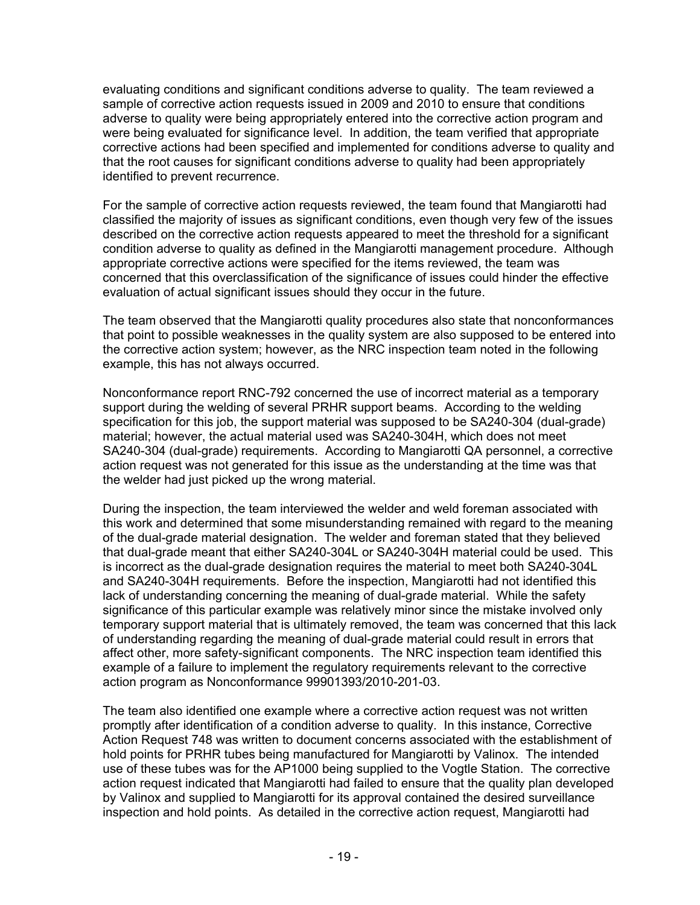evaluating conditions and significant conditions adverse to quality. The team reviewed a sample of corrective action requests issued in 2009 and 2010 to ensure that conditions adverse to quality were being appropriately entered into the corrective action program and were being evaluated for significance level. In addition, the team verified that appropriate corrective actions had been specified and implemented for conditions adverse to quality and that the root causes for significant conditions adverse to quality had been appropriately identified to prevent recurrence.

For the sample of corrective action requests reviewed, the team found that Mangiarotti had classified the majority of issues as significant conditions, even though very few of the issues described on the corrective action requests appeared to meet the threshold for a significant condition adverse to quality as defined in the Mangiarotti management procedure. Although appropriate corrective actions were specified for the items reviewed, the team was concerned that this overclassification of the significance of issues could hinder the effective evaluation of actual significant issues should they occur in the future.

The team observed that the Mangiarotti quality procedures also state that nonconformances that point to possible weaknesses in the quality system are also supposed to be entered into the corrective action system; however, as the NRC inspection team noted in the following example, this has not always occurred.

Nonconformance report RNC-792 concerned the use of incorrect material as a temporary support during the welding of several PRHR support beams. According to the welding specification for this job, the support material was supposed to be SA240-304 (dual-grade) material; however, the actual material used was SA240-304H, which does not meet SA240-304 (dual-grade) requirements. According to Mangiarotti QA personnel, a corrective action request was not generated for this issue as the understanding at the time was that the welder had just picked up the wrong material.

During the inspection, the team interviewed the welder and weld foreman associated with this work and determined that some misunderstanding remained with regard to the meaning of the dual-grade material designation. The welder and foreman stated that they believed that dual-grade meant that either SA240-304L or SA240-304H material could be used. This is incorrect as the dual-grade designation requires the material to meet both SA240-304L and SA240-304H requirements. Before the inspection, Mangiarotti had not identified this lack of understanding concerning the meaning of dual-grade material. While the safety significance of this particular example was relatively minor since the mistake involved only temporary support material that is ultimately removed, the team was concerned that this lack of understanding regarding the meaning of dual-grade material could result in errors that affect other, more safety-significant components. The NRC inspection team identified this example of a failure to implement the regulatory requirements relevant to the corrective action program as Nonconformance 99901393/2010-201-03.

The team also identified one example where a corrective action request was not written promptly after identification of a condition adverse to quality. In this instance, Corrective Action Request 748 was written to document concerns associated with the establishment of hold points for PRHR tubes being manufactured for Mangiarotti by Valinox. The intended use of these tubes was for the AP1000 being supplied to the Vogtle Station. The corrective action request indicated that Mangiarotti had failed to ensure that the quality plan developed by Valinox and supplied to Mangiarotti for its approval contained the desired surveillance inspection and hold points. As detailed in the corrective action request, Mangiarotti had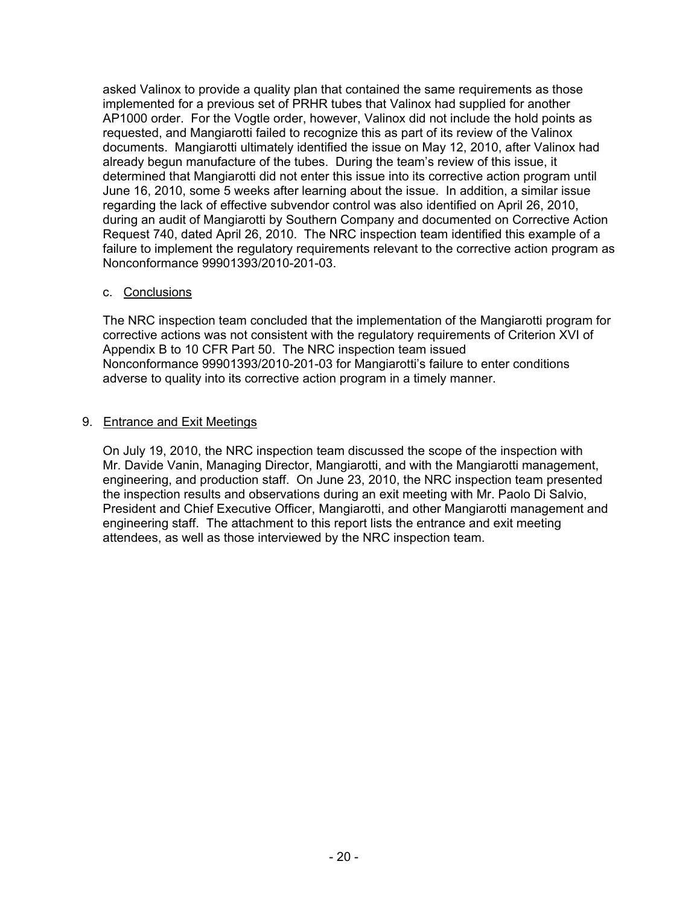asked Valinox to provide a quality plan that contained the same requirements as those implemented for a previous set of PRHR tubes that Valinox had supplied for another AP1000 order. For the Vogtle order, however, Valinox did not include the hold points as requested, and Mangiarotti failed to recognize this as part of its review of the Valinox documents. Mangiarotti ultimately identified the issue on May 12, 2010, after Valinox had already begun manufacture of the tubes. During the team's review of this issue, it determined that Mangiarotti did not enter this issue into its corrective action program until June 16, 2010, some 5 weeks after learning about the issue. In addition, a similar issue regarding the lack of effective subvendor control was also identified on April 26, 2010, during an audit of Mangiarotti by Southern Company and documented on Corrective Action Request 740, dated April 26, 2010. The NRC inspection team identified this example of a failure to implement the regulatory requirements relevant to the corrective action program as Nonconformance 99901393/2010-201-03.

### c. Conclusions

The NRC inspection team concluded that the implementation of the Mangiarotti program for corrective actions was not consistent with the regulatory requirements of Criterion XVI of Appendix B to 10 CFR Part 50. The NRC inspection team issued Nonconformance 99901393/2010-201-03 for Mangiarotti's failure to enter conditions adverse to quality into its corrective action program in a timely manner.

#### 9. Entrance and Exit Meetings

On July 19, 2010, the NRC inspection team discussed the scope of the inspection with Mr. Davide Vanin, Managing Director, Mangiarotti, and with the Mangiarotti management, engineering, and production staff. On June 23, 2010, the NRC inspection team presented the inspection results and observations during an exit meeting with Mr. Paolo Di Salvio, President and Chief Executive Officer, Mangiarotti, and other Mangiarotti management and engineering staff. The attachment to this report lists the entrance and exit meeting attendees, as well as those interviewed by the NRC inspection team.